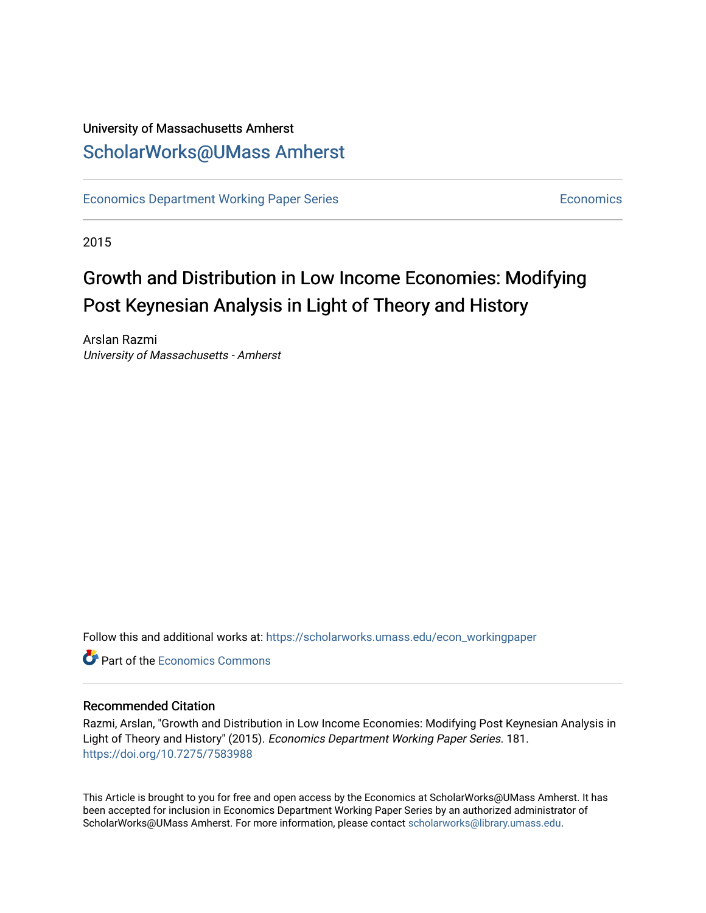## University of Massachusetts Amherst [ScholarWorks@UMass Amherst](https://scholarworks.umass.edu/)

[Economics Department Working Paper Series](https://scholarworks.umass.edu/econ_workingpaper) **Economics** [Economics](https://scholarworks.umass.edu/economics) Economics

2015

## Growth and Distribution in Low Income Economies: Modifying Post Keynesian Analysis in Light of Theory and History

Arslan Razmi University of Massachusetts - Amherst

Follow this and additional works at: [https://scholarworks.umass.edu/econ\\_workingpaper](https://scholarworks.umass.edu/econ_workingpaper?utm_source=scholarworks.umass.edu%2Fecon_workingpaper%2F181&utm_medium=PDF&utm_campaign=PDFCoverPages) 

**C** Part of the [Economics Commons](http://network.bepress.com/hgg/discipline/340?utm_source=scholarworks.umass.edu%2Fecon_workingpaper%2F181&utm_medium=PDF&utm_campaign=PDFCoverPages)

#### Recommended Citation

Razmi, Arslan, "Growth and Distribution in Low Income Economies: Modifying Post Keynesian Analysis in Light of Theory and History" (2015). Economics Department Working Paper Series. 181. <https://doi.org/10.7275/7583988>

This Article is brought to you for free and open access by the Economics at ScholarWorks@UMass Amherst. It has been accepted for inclusion in Economics Department Working Paper Series by an authorized administrator of ScholarWorks@UMass Amherst. For more information, please contact [scholarworks@library.umass.edu.](mailto:scholarworks@library.umass.edu)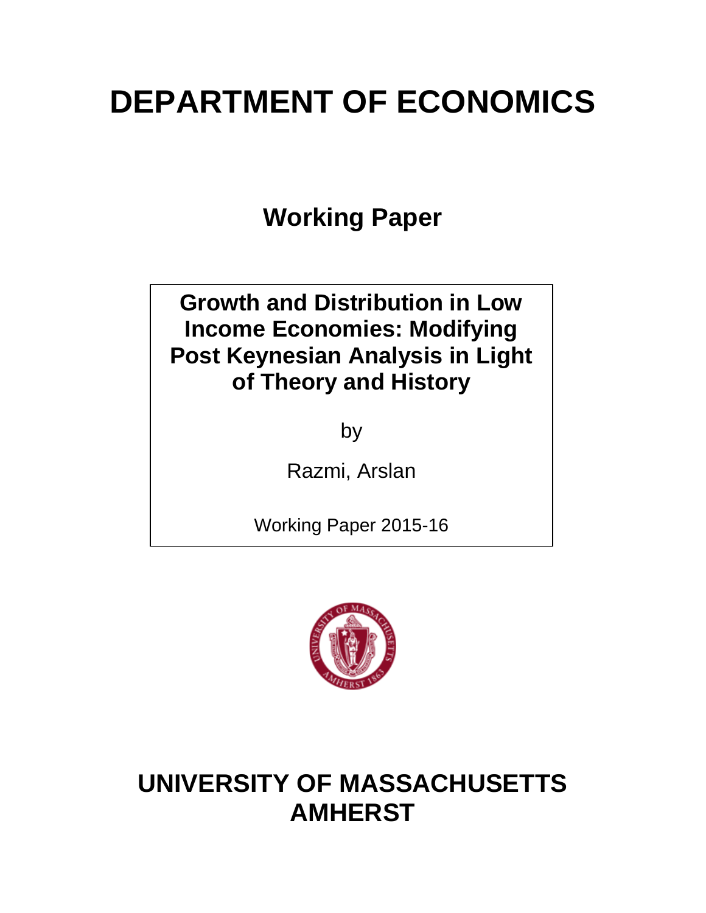# **DEPARTMENT OF ECONOMICS**

**Working Paper**

## **Growth and Distribution in Low Income Economies: Modifying Post Keynesian Analysis in Light of Theory and History**

by

Razmi, Arslan

Working Paper 2015-16



## **UNIVERSITY OF MASSACHUSETTS AMHERST**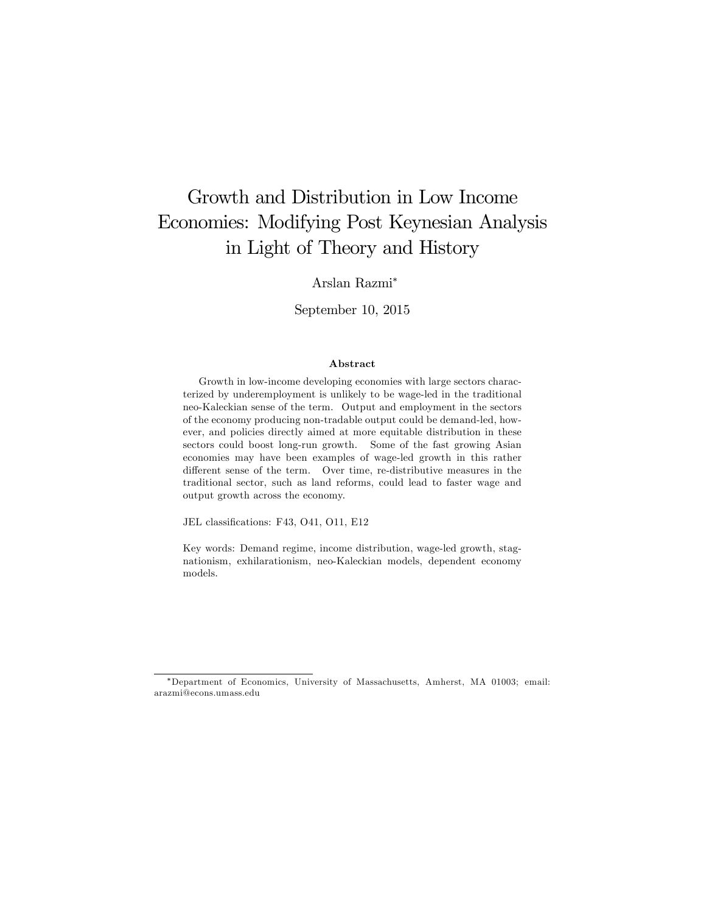## Growth and Distribution in Low Income Economies: Modifying Post Keynesian Analysis in Light of Theory and History

#### Arslan Razmi

#### September 10, 2015

#### Abstract

Growth in low-income developing economies with large sectors characterized by underemployment is unlikely to be wage-led in the traditional neo-Kaleckian sense of the term. Output and employment in the sectors of the economy producing non-tradable output could be demand-led, however, and policies directly aimed at more equitable distribution in these sectors could boost long-run growth. Some of the fast growing Asian economies may have been examples of wage-led growth in this rather different sense of the term. Over time, re-distributive measures in the traditional sector, such as land reforms, could lead to faster wage and output growth across the economy.

JEL classifications: F43, O41, O11, E12

Key words: Demand regime, income distribution, wage-led growth, stagnationism, exhilarationism, neo-Kaleckian models, dependent economy models.

Department of Economics, University of Massachusetts, Amherst, MA 01003; email: arazmi@econs.umass.edu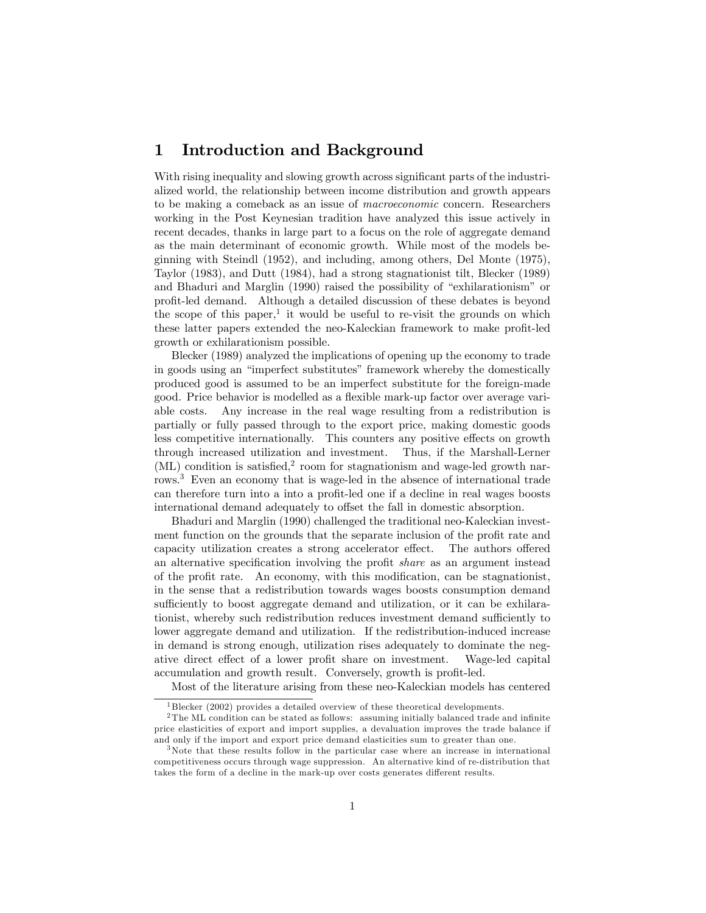### 1 Introduction and Background

With rising inequality and slowing growth across significant parts of the industrialized world, the relationship between income distribution and growth appears to be making a comeback as an issue of macroeconomic concern. Researchers working in the Post Keynesian tradition have analyzed this issue actively in recent decades, thanks in large part to a focus on the role of aggregate demand as the main determinant of economic growth. While most of the models beginning with Steindl (1952), and including, among others, Del Monte (1975), Taylor (1983), and Dutt (1984), had a strong stagnationist tilt, Blecker (1989) and Bhaduri and Marglin (1990) raised the possibility of "exhilarationism" or proÖt-led demand. Although a detailed discussion of these debates is beyond the scope of this paper,<sup>1</sup> it would be useful to re-visit the grounds on which these latter papers extended the neo-Kaleckian framework to make profit-led growth or exhilarationism possible.

Blecker (1989) analyzed the implications of opening up the economy to trade in goods using an "imperfect substitutes" framework whereby the domestically produced good is assumed to be an imperfect substitute for the foreign-made good. Price behavior is modelled as a flexible mark-up factor over average variable costs. Any increase in the real wage resulting from a redistribution is partially or fully passed through to the export price, making domestic goods less competitive internationally. This counters any positive effects on growth through increased utilization and investment. Thus, if the Marshall-Lerner  $(ML)$  condition is satisfied,<sup>2</sup> room for stagnationism and wage-led growth narrows.<sup>3</sup> Even an economy that is wage-led in the absence of international trade can therefore turn into a into a profit-led one if a decline in real wages boosts international demand adequately to offset the fall in domestic absorption.

Bhaduri and Marglin (1990) challenged the traditional neo-Kaleckian investment function on the grounds that the separate inclusion of the profit rate and capacity utilization creates a strong accelerator effect. The authors offered an alternative specification involving the profit *share* as an argument instead of the profit rate. An economy, with this modification, can be stagnationist, in the sense that a redistribution towards wages boosts consumption demand sufficiently to boost aggregate demand and utilization, or it can be exhilaretionist, whereby such redistribution reduces investment demand sufficiently to lower aggregate demand and utilization. If the redistribution-induced increase in demand is strong enough, utilization rises adequately to dominate the negative direct effect of a lower profit share on investment. Wage-led capital accumulation and growth result. Conversely, growth is profit-led.

Most of the literature arising from these neo-Kaleckian models has centered

<sup>&</sup>lt;sup>1</sup> Blecker (2002) provides a detailed overview of these theoretical developments.

 $2$ The ML condition can be stated as follows: assuming initially balanced trade and infinite price elasticities of export and import supplies, a devaluation improves the trade balance if and only if the import and export price demand elasticities sum to greater than one.

<sup>&</sup>lt;sup>3</sup>Note that these results follow in the particular case where an increase in international competitiveness occurs through wage suppression. An alternative kind of re-distribution that takes the form of a decline in the mark-up over costs generates different results.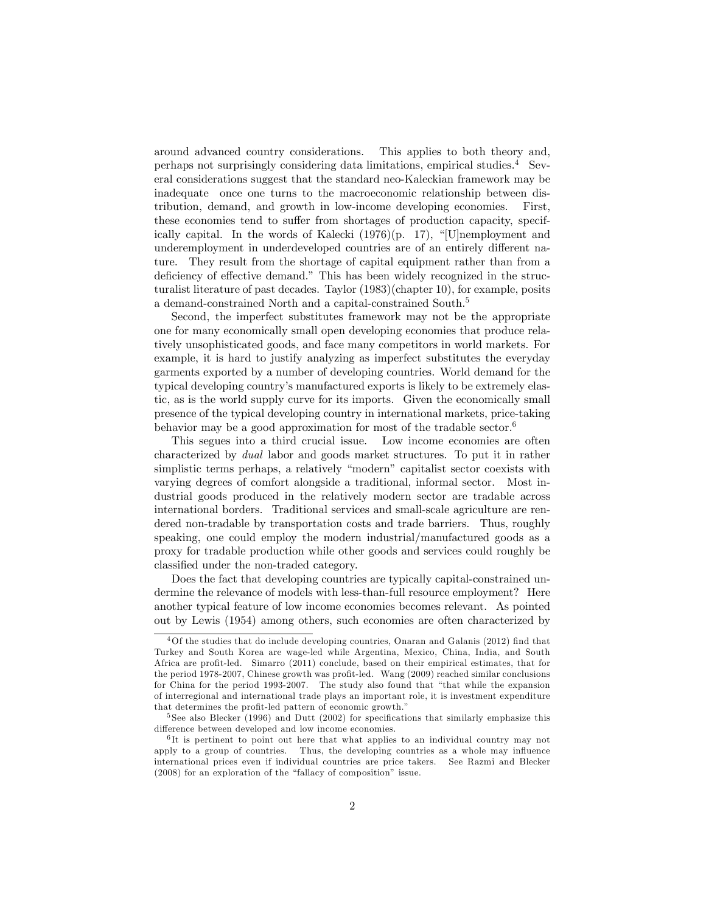around advanced country considerations. This applies to both theory and, perhaps not surprisingly considering data limitations, empirical studies.<sup>4</sup> Several considerations suggest that the standard neo-Kaleckian framework may be inadequate once one turns to the macroeconomic relationship between distribution, demand, and growth in low-income developing economies. First, these economies tend to suffer from shortages of production capacity, specifically capital. In the words of Kalecki  $(1976)(p. 17)$ , "[U]nemployment and underemployment in underdeveloped countries are of an entirely different nature. They result from the shortage of capital equipment rather than from a deficiency of effective demand." This has been widely recognized in the structuralist literature of past decades. Taylor (1983)(chapter 10), for example, posits a demand-constrained North and a capital-constrained South.<sup>5</sup>

Second, the imperfect substitutes framework may not be the appropriate one for many economically small open developing economies that produce relatively unsophisticated goods, and face many competitors in world markets. For example, it is hard to justify analyzing as imperfect substitutes the everyday garments exported by a number of developing countries. World demand for the typical developing countryís manufactured exports is likely to be extremely elastic, as is the world supply curve for its imports. Given the economically small presence of the typical developing country in international markets, price-taking behavior may be a good approximation for most of the tradable sector.<sup>6</sup>

This segues into a third crucial issue. Low income economies are often characterized by dual labor and goods market structures. To put it in rather simplistic terms perhaps, a relatively "modern" capitalist sector coexists with varying degrees of comfort alongside a traditional, informal sector. Most industrial goods produced in the relatively modern sector are tradable across international borders. Traditional services and small-scale agriculture are rendered non-tradable by transportation costs and trade barriers. Thus, roughly speaking, one could employ the modern industrial/manufactured goods as a proxy for tradable production while other goods and services could roughly be classified under the non-traded category.

Does the fact that developing countries are typically capital-constrained undermine the relevance of models with less-than-full resource employment? Here another typical feature of low income economies becomes relevant. As pointed out by Lewis (1954) among others, such economies are often characterized by

 $4$ Of the studies that do include developing countries, Onaran and Galanis (2012) find that Turkey and South Korea are wage-led while Argentina, Mexico, China, India, and South Africa are profit-led. Simarro (2011) conclude, based on their empirical estimates, that for the period 1978-2007, Chinese growth was profit-led. Wang (2009) reached similar conclusions for China for the period 1993-2007. The study also found that "that while the expansion of interregional and international trade plays an important role, it is investment expenditure that determines the profit-led pattern of economic growth.<sup>"</sup>

 $5$  See also Blecker (1996) and Dutt (2002) for specifications that similarly emphasize this difference between developed and low income economies.

<sup>&</sup>lt;sup>6</sup>It is pertinent to point out here that what applies to an individual country may not apply to a group of countries. Thus, the developing countries as a whole may influence international prices even if individual countries are price takers. See Razmi and Blecker  $(2008)$  for an exploration of the "fallacy of composition" issue.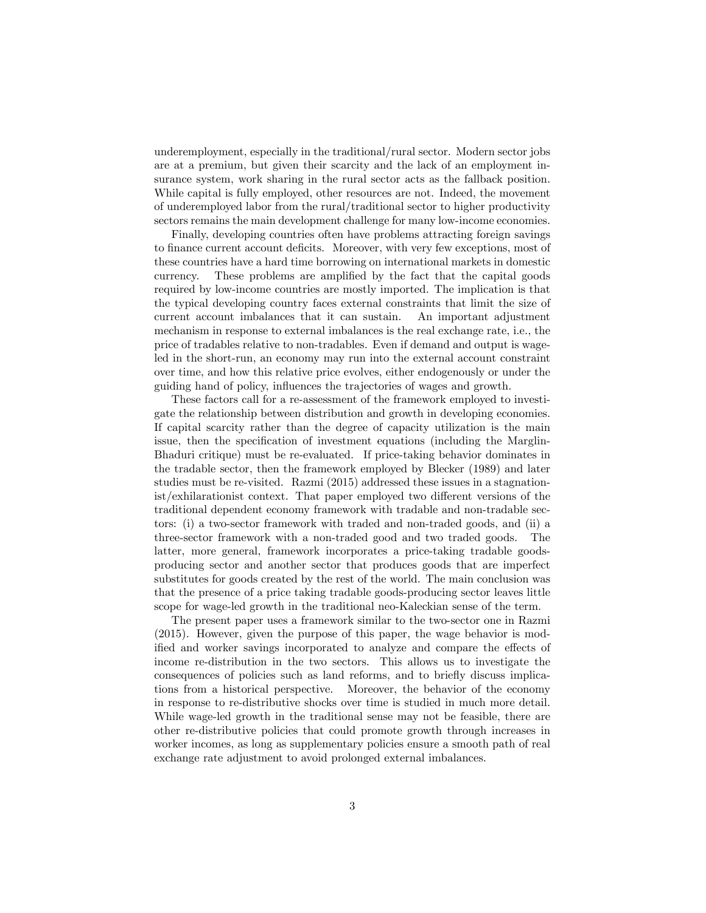underemployment, especially in the traditional/rural sector. Modern sector jobs are at a premium, but given their scarcity and the lack of an employment insurance system, work sharing in the rural sector acts as the fallback position. While capital is fully employed, other resources are not. Indeed, the movement of underemployed labor from the rural/traditional sector to higher productivity sectors remains the main development challenge for many low-income economies.

Finally, developing countries often have problems attracting foreign savings to finance current account deficits. Moreover, with very few exceptions, most of these countries have a hard time borrowing on international markets in domestic currency. These problems are amplified by the fact that the capital goods required by low-income countries are mostly imported. The implication is that the typical developing country faces external constraints that limit the size of current account imbalances that it can sustain. An important adjustment mechanism in response to external imbalances is the real exchange rate, i.e., the price of tradables relative to non-tradables. Even if demand and output is wageled in the short-run, an economy may run into the external account constraint over time, and how this relative price evolves, either endogenously or under the guiding hand of policy, influences the trajectories of wages and growth.

These factors call for a re-assessment of the framework employed to investigate the relationship between distribution and growth in developing economies. If capital scarcity rather than the degree of capacity utilization is the main issue, then the specification of investment equations (including the Marglin-Bhaduri critique) must be re-evaluated. If price-taking behavior dominates in the tradable sector, then the framework employed by Blecker (1989) and later studies must be re-visited. Razmi (2015) addressed these issues in a stagnation $ist/exhilarationist context. That paper employed two different versions of the$ traditional dependent economy framework with tradable and non-tradable sectors: (i) a two-sector framework with traded and non-traded goods, and (ii) a three-sector framework with a non-traded good and two traded goods. The latter, more general, framework incorporates a price-taking tradable goodsproducing sector and another sector that produces goods that are imperfect substitutes for goods created by the rest of the world. The main conclusion was that the presence of a price taking tradable goods-producing sector leaves little scope for wage-led growth in the traditional neo-Kaleckian sense of the term.

The present paper uses a framework similar to the two-sector one in Razmi (2015). However, given the purpose of this paper, the wage behavior is modified and worker savings incorporated to analyze and compare the effects of income re-distribution in the two sectors. This allows us to investigate the consequences of policies such as land reforms, and to brieáy discuss implications from a historical perspective. Moreover, the behavior of the economy in response to re-distributive shocks over time is studied in much more detail. While wage-led growth in the traditional sense may not be feasible, there are other re-distributive policies that could promote growth through increases in worker incomes, as long as supplementary policies ensure a smooth path of real exchange rate adjustment to avoid prolonged external imbalances.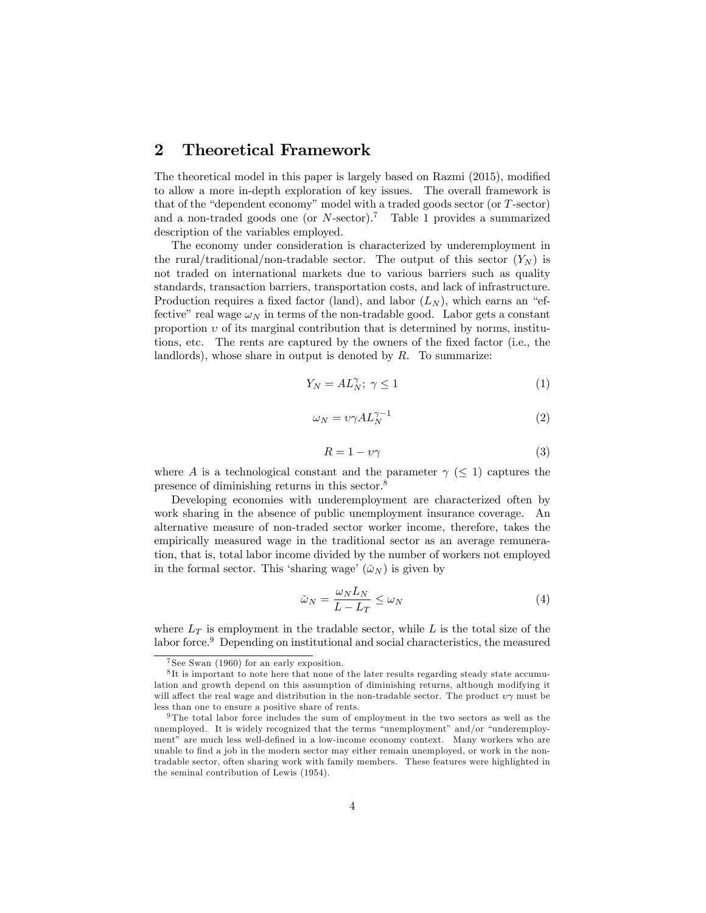### 2 Theoretical Framework

The theoretical model in this paper is largely based on Razmi (2015), modified to allow a more in-depth exploration of key issues. The overall framework is that of the "dependent economy" model with a traded goods sector (or  $T\text{-sector}$ ) and a non-traded goods one (or  $N$ -sector).<sup>7</sup> Table 1 provides a summarized description of the variables employed.

The economy under consideration is characterized by underemployment in the rural/traditional/non-tradable sector. The output of this sector  $(Y_N)$  is not traded on international markets due to various barriers such as quality standards, transaction barriers, transportation costs, and lack of infrastructure. Production requires a fixed factor (land), and labor  $(L_N)$ , which earns an "effective" real wage  $\omega_N$  in terms of the non-tradable good. Labor gets a constant proportion  $v$  of its marginal contribution that is determined by norms, institutions, etc. The rents are captured by the owners of the fixed factor (i.e., the landlords), whose share in output is denoted by  $R$ . To summarize:

$$
Y_N = AL_N^\gamma; \ \gamma \le 1 \tag{1}
$$

$$
\omega_N = \nu \gamma A L_N^{\gamma - 1} \tag{2}
$$

$$
R = 1 - \nu \gamma \tag{3}
$$

where A is a technological constant and the parameter  $\gamma$  ( $\leq$  1) captures the presence of diminishing returns in this sector.<sup>8</sup>

Developing economies with underemployment are characterized often by work sharing in the absence of public unemployment insurance coverage. An alternative measure of non-traded sector worker income, therefore, takes the empirically measured wage in the traditional sector as an average remuneration, that is, total labor income divided by the number of workers not employed in the formal sector. This 'sharing wage'  $(\tilde{\omega}_N)$  is given by

$$
\tilde{\omega}_N = \frac{\omega_N L_N}{L - L_T} \le \omega_N \tag{4}
$$

where  $L<sub>T</sub>$  is employment in the tradable sector, while L is the total size of the labor force.<sup>9</sup> Depending on institutional and social characteristics, the measured

<sup>7</sup> See Swan (1960) for an early exposition.

<sup>8</sup> It is important to note here that none of the later results regarding steady state accumulation and growth depend on this assumption of diminishing returns, although modifying it will affect the real wage and distribution in the non-tradable sector. The product  $v\gamma$  must be less than one to ensure a positive share of rents.

<sup>9</sup> The total labor force includes the sum of employment in the two sectors as well as the unemployed. It is widely recognized that the terms "unemployment" and/or "underemployment" are much less well-defined in a low-income economy context. Many workers who are unable to find a job in the modern sector may either remain unemployed, or work in the nontradable sector, often sharing work with family members. These features were highlighted in the seminal contribution of Lewis (1954).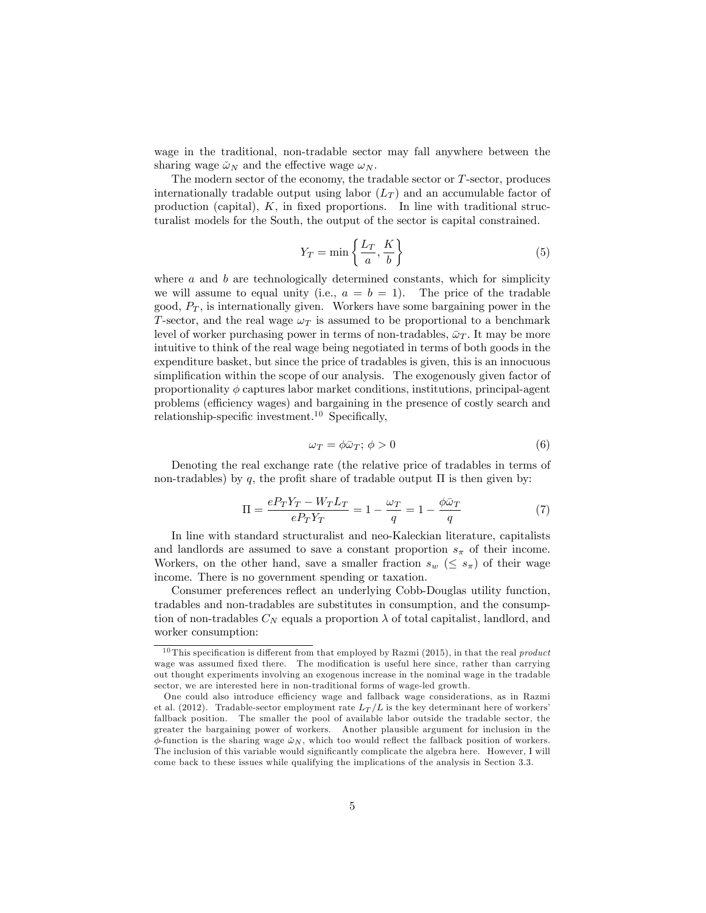wage in the traditional, non-tradable sector may fall anywhere between the sharing wage  $\tilde{\omega}_N$  and the effective wage  $\omega_N$ .

The modern sector of the economy, the tradable sector or  $T$ -sector, produces internationally tradable output using labor  $(L_T)$  and an accumulable factor of production (capital),  $K$ , in fixed proportions. In line with traditional structuralist models for the South, the output of the sector is capital constrained.

$$
Y_T = \min\left\{\frac{L_T}{a}, \frac{K}{b}\right\} \tag{5}
$$

where  $a$  and  $b$  are technologically determined constants, which for simplicity we will assume to equal unity (i.e.,  $a = b = 1$ ). The price of the tradable good,  $P_T$ , is internationally given. Workers have some bargaining power in the T-sector, and the real wage  $\omega_T$  is assumed to be proportional to a benchmark level of worker purchasing power in terms of non-tradables,  $\bar{\omega}_T$ . It may be more intuitive to think of the real wage being negotiated in terms of both goods in the expenditure basket, but since the price of tradables is given, this is an innocuous simplification within the scope of our analysis. The exogenously given factor of proportionality  $\phi$  captures labor market conditions, institutions, principal-agent problems (efficiency wages) and bargaining in the presence of costly search and relationship-specific investment.<sup>10</sup> Specifically,

$$
\omega_T = \phi \bar{\omega}_T; \, \phi > 0 \tag{6}
$$

Denoting the real exchange rate (the relative price of tradables in terms of non-tradables) by q, the profit share of tradable output  $\Pi$  is then given by:

$$
\Pi = \frac{eP_T Y_T - W_T L_T}{eP_T Y_T} = 1 - \frac{\omega_T}{q} = 1 - \frac{\phi \bar{\omega}_T}{q}
$$
\n<sup>(7)</sup>

In line with standard structuralist and neo-Kaleckian literature, capitalists and landlords are assumed to save a constant proportion  $s_{\pi}$  of their income. Workers, on the other hand, save a smaller fraction  $s_w \leq s_{\pi}$  of their wage income. There is no government spending or taxation.

Consumer preferences reflect an underlying Cobb-Douglas utility function, tradables and non-tradables are substitutes in consumption, and the consumption of non-tradables  $C_N$  equals a proportion  $\lambda$  of total capitalist, landlord, and worker consumption:

<sup>&</sup>lt;sup>10</sup> This specification is different from that employed by Razmi (2015), in that the real *product* wage was assumed fixed there. The modification is useful here since, rather than carrying out thought experiments involving an exogenous increase in the nominal wage in the tradable sector, we are interested here in non-traditional forms of wage-led growth.

One could also introduce efficiency wage and fallback wage considerations, as in Razmi et al. (2012). Tradable-sector employment rate  $L_T/L$  is the key determinant here of workers' fallback position. The smaller the pool of available labor outside the tradable sector, the greater the bargaining power of workers. Another plausible argument for inclusion in the  $\phi$ -function is the sharing wage  $\check{\omega}_N$ , which too would reflect the fallback position of workers. The inclusion of this variable would significantly complicate the algebra here. However, I will come back to these issues while qualifying the implications of the analysis in Section 3.3.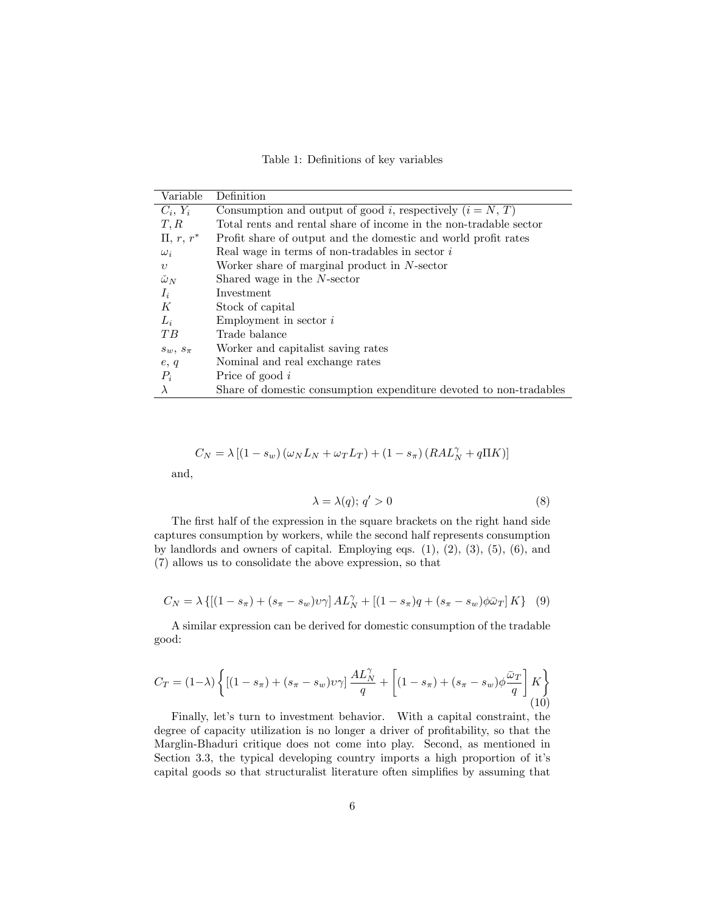Table 1: Definitions of key variables

| Variable           | Definition                                                         |
|--------------------|--------------------------------------------------------------------|
| $C_i, Y_i$         | Consumption and output of good i, respectively $(i = N, T)$        |
| T, R               | Total rents and rental share of income in the non-tradable sector  |
| $\Pi, r, r^*$      | Profit share of output and the domestic and world profit rates     |
| $\omega_i$         | Real wage in terms of non-tradables in sector $i$                  |
| $\boldsymbol{v}$   | Worker share of marginal product in $N$ -sector                    |
| $\check{\omega}_N$ | Shared wage in the N-sector                                        |
| $I_i$              | Investment                                                         |
| К                  | Stock of capital                                                   |
| $L_i$              | Employment in sector $i$                                           |
| TB                 | Trade balance                                                      |
| $s_w, s_\pi$       | Worker and capitalist saving rates                                 |
| e, q               | Nominal and real exchange rates                                    |
| $P_i$              | Price of good $i$                                                  |
| $\lambda$          | Share of domestic consumption expenditure devoted to non-tradables |

$$
C_N = \lambda \left[ \left( 1 - s_w \right) \left( \omega_N L_N + \omega_T L_T \right) + \left( 1 - s_\pi \right) \left( R A L_N^\gamma + q \Pi K \right) \right]
$$

and,

$$
\lambda = \lambda(q); \, q' > 0 \tag{8}
$$

The first half of the expression in the square brackets on the right hand side captures consumption by workers, while the second half represents consumption by landlords and owners of capital. Employing eqs.  $(1)$ ,  $(2)$ ,  $(3)$ ,  $(5)$ ,  $(6)$ , and (7) allows us to consolidate the above expression, so that

$$
C_N = \lambda \left\{ [(1 - s_{\pi}) + (s_{\pi} - s_w)v_{\gamma}] A L_N^{\gamma} + [(1 - s_{\pi})q + (s_{\pi} - s_w)\phi \bar{\omega}_T] K \right\} (9)
$$

A similar expression can be derived for domestic consumption of the tradable good:

$$
C_T = (1 - \lambda) \left\{ \left[ (1 - s_\pi) + (s_\pi - s_w)v\gamma \right] \frac{AL_N^{\gamma}}{q} + \left[ (1 - s_\pi) + (s_\pi - s_w)\phi \frac{\bar{\omega}_T}{q} \right] K \right\} \tag{10}
$$

Finally, let's turn to investment behavior. With a capital constraint, the degree of capacity utilization is no longer a driver of profitability, so that the Marglin-Bhaduri critique does not come into play. Second, as mentioned in Section 3.3, the typical developing country imports a high proportion of it's capital goods so that structuralist literature often simplifies by assuming that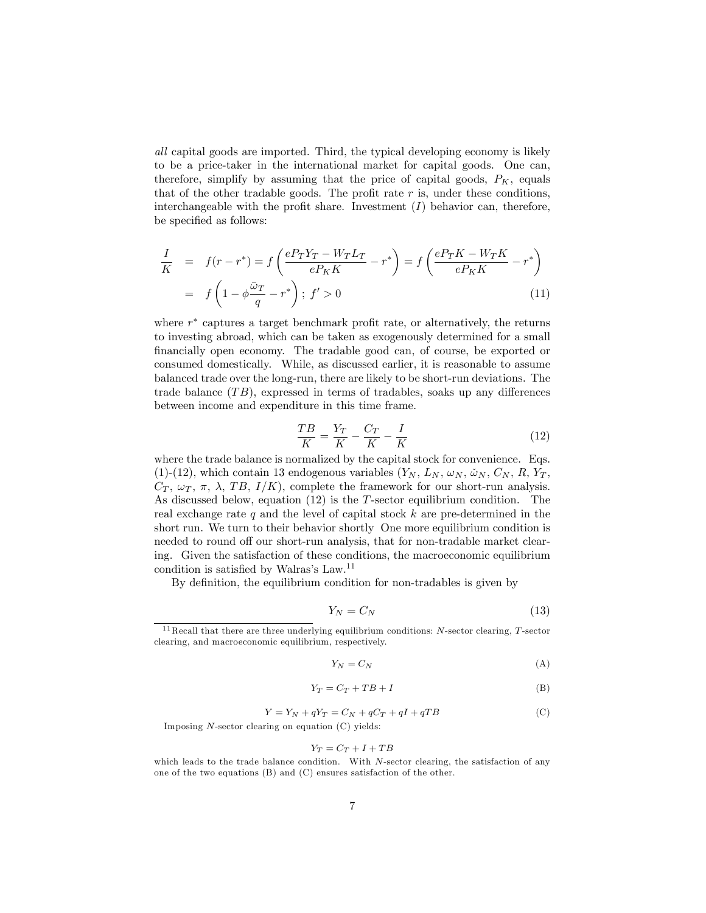all capital goods are imported. Third, the typical developing economy is likely to be a price-taker in the international market for capital goods. One can, therefore, simplify by assuming that the price of capital goods,  $P_K$ , equals that of the other tradable goods. The profit rate  $r$  is, under these conditions, interchangeable with the profit share. Investment  $(I)$  behavior can, therefore, be specified as follows:

$$
\frac{I}{K} = f(r - r^*) = f\left(\frac{eP_TY_T - W_TL_T}{eP_KK} - r^*\right) = f\left(\frac{eP_TK - W_TK}{eP_KK} - r^*\right)
$$
\n
$$
= f\left(1 - \phi\frac{\bar{\omega}_T}{q} - r^*\right); \ f' > 0 \tag{11}
$$

where  $r^*$  captures a target benchmark profit rate, or alternatively, the returns to investing abroad, which can be taken as exogenously determined for a small Önancially open economy. The tradable good can, of course, be exported or consumed domestically. While, as discussed earlier, it is reasonable to assume balanced trade over the long-run, there are likely to be short-run deviations. The trade balance  $(TB)$ , expressed in terms of tradables, soaks up any differences between income and expenditure in this time frame.

$$
\frac{TB}{K} = \frac{Y_T}{K} - \frac{C_T}{K} - \frac{I}{K}
$$
\n<sup>(12)</sup>

where the trade balance is normalized by the capital stock for convenience. Eqs. (1)-(12), which contain 13 endogenous variables  $(Y_N, L_N, \omega_N, \tilde{\omega}_N, C_N, R, Y_T,$  $C_T$ ,  $\omega_T$ ,  $\pi$ ,  $\lambda$ , TB, I/K), complete the framework for our short-run analysis. As discussed below, equation  $(12)$  is the T-sector equilibrium condition. The real exchange rate  $q$  and the level of capital stock  $k$  are pre-determined in the short run. We turn to their behavior shortly One more equilibrium condition is needed to round off our short-run analysis, that for non-tradable market clearing. Given the satisfaction of these conditions, the macroeconomic equilibrium condition is satisfied by Walras's Law.<sup>11</sup>

By definition, the equilibrium condition for non-tradables is given by

$$
Y_N = C_N \tag{13}
$$

$$
Y_N = C_N \tag{A}
$$

$$
Y_T = C_T + TB + I \tag{B}
$$

$$
Y = Y_N + qY_T = C_N + qC_T + qI + qTB
$$
 (C)

Imposing  $N$ -sector clearing on equation  $(C)$  yields:

$$
Y_T = C_T + I + TB
$$

 $11$  Recall that there are three underlying equilibrium conditions: N-sector clearing, T-sector clearing, and macroeconomic equilibrium, respectively.

which leads to the trade balance condition. With  $N$ -sector clearing, the satisfaction of any one of the two equations (B) and (C) ensures satisfaction of the other.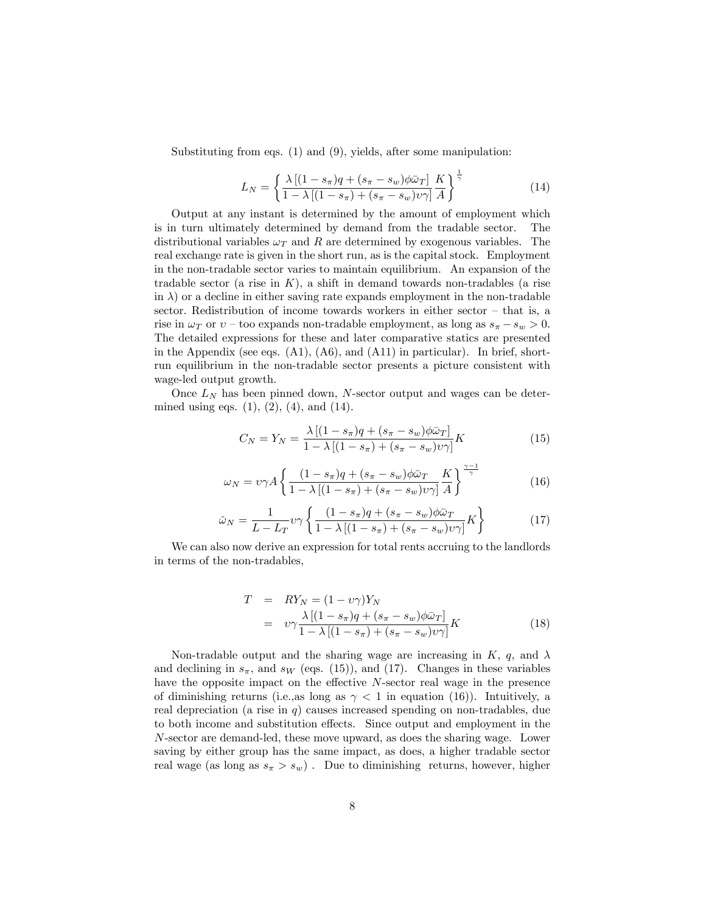Substituting from eqs. (1) and (9), yields, after some manipulation:

$$
L_N = \left\{ \frac{\lambda \left[ (1 - s_\pi)q + (s_\pi - s_w)\phi \bar{\omega}_T \right]}{1 - \lambda \left[ (1 - s_\pi) + (s_\pi - s_w)v\gamma \right]} \frac{K}{A} \right\}^{\frac{1}{\gamma}}
$$
(14)

Output at any instant is determined by the amount of employment which is in turn ultimately determined by demand from the tradable sector. The distributional variables  $\omega_T$  and R are determined by exogenous variables. The real exchange rate is given in the short run, as is the capital stock. Employment in the non-tradable sector varies to maintain equilibrium. An expansion of the tradable sector (a rise in  $K$ ), a shift in demand towards non-tradables (a rise in  $\lambda$ ) or a decline in either saving rate expands employment in the non-tradable sector. Redistribution of income towards workers in either sector  $-$  that is, a rise in  $\omega_T$  or  $v$  – too expands non-tradable employment, as long as  $s_{\pi} - s_w > 0$ . The detailed expressions for these and later comparative statics are presented in the Appendix (see eqs.  $(A1)$ ,  $(A6)$ , and  $(A11)$  in particular). In brief, shortrun equilibrium in the non-tradable sector presents a picture consistent with wage-led output growth.

Once  $L<sub>N</sub>$  has been pinned down, N-sector output and wages can be determined using eqs.  $(1)$ ,  $(2)$ ,  $(4)$ , and  $(14)$ .

$$
C_N = Y_N = \frac{\lambda \left[ (1 - s_\pi)q + (s_\pi - s_w)\phi \bar{\omega}_T \right]}{1 - \lambda \left[ (1 - s_\pi) + (s_\pi - s_w)v \gamma \right]} K \tag{15}
$$

$$
\omega_N = \nu \gamma A \left\{ \frac{(1 - s_\pi)q + (s_\pi - s_w)\phi \bar{\omega}_T}{1 - \lambda \left[ (1 - s_\pi) + (s_\pi - s_w)\nu \gamma \right]} \frac{K}{A} \right\}^{\frac{\gamma - 1}{\gamma}} \tag{16}
$$

$$
\tilde{\omega}_N = \frac{1}{L - L_T} v \gamma \left\{ \frac{(1 - s_\pi)q + (s_\pi - s_w)\phi \bar{\omega}_T}{1 - \lambda \left[ (1 - s_\pi) + (s_\pi - s_w)v \gamma \right]} K \right\} \tag{17}
$$

We can also now derive an expression for total rents accruing to the landlords in terms of the non-tradables,

$$
T = RY_N = (1 - v\gamma)Y_N
$$
  
= 
$$
v\gamma \frac{\lambda[(1 - s_\pi)q + (s_\pi - s_w)\phi\bar{\omega}_T]}{1 - \lambda[(1 - s_\pi) + (s_\pi - s_w)v\gamma]}K
$$
 (18)

Non-tradable output and the sharing wage are increasing in  $K$ , q, and  $\lambda$ and declining in  $s_{\pi}$ , and  $s_W$  (eqs. (15)), and (17). Changes in these variables have the opposite impact on the effective  $N$ -sector real wage in the presence of diminishing returns (i.e., as long as  $\gamma < 1$  in equation (16)). Intuitively, a real depreciation (a rise in  $q$ ) causes increased spending on non-tradables, due to both income and substitution effects. Since output and employment in the N-sector are demand-led, these move upward, as does the sharing wage. Lower saving by either group has the same impact, as does, a higher tradable sector real wage (as long as  $s_{\pi} > s_w$ ). Due to diminishing returns, however, higher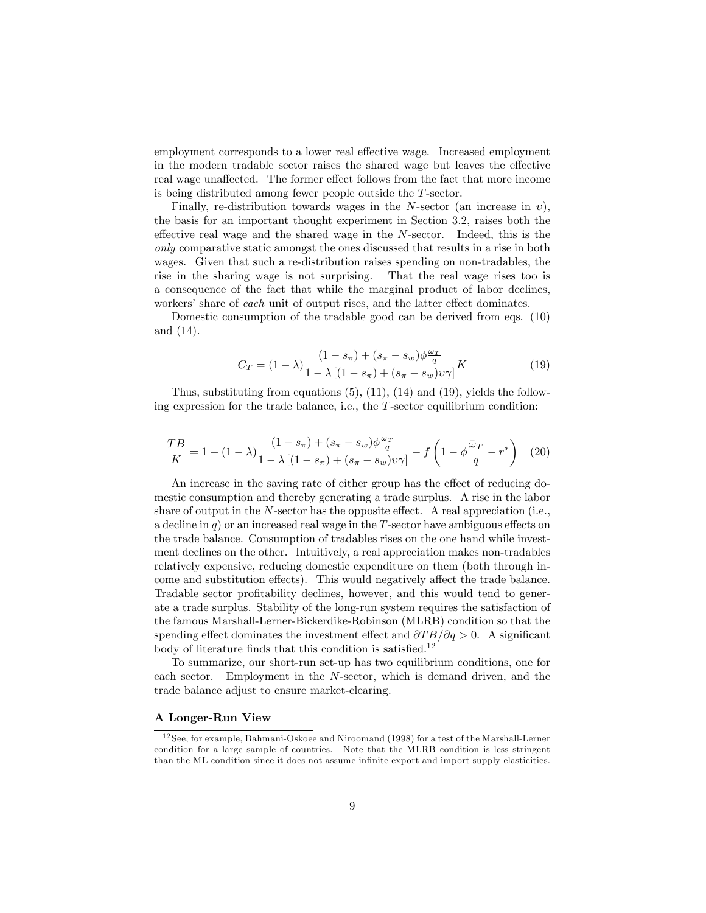employment corresponds to a lower real effective wage. Increased employment in the modern tradable sector raises the shared wage but leaves the effective real wage unaffected. The former effect follows from the fact that more income is being distributed among fewer people outside the T-sector.

Finally, re-distribution towards wages in the N-sector (an increase in  $v$ ), the basis for an important thought experiment in Section 3.2, raises both the effective real wage and the shared wage in the  $N$ -sector. Indeed, this is the only comparative static amongst the ones discussed that results in a rise in both wages. Given that such a re-distribution raises spending on non-tradables, the rise in the sharing wage is not surprising. That the real wage rises too is a consequence of the fact that while the marginal product of labor declines, workers' share of each unit of output rises, and the latter effect dominates.

Domestic consumption of the tradable good can be derived from eqs. (10) and (14).

$$
C_T = (1 - \lambda) \frac{(1 - s_\pi) + (s_\pi - s_w)\phi \frac{\bar{\omega}_T}{q}}{1 - \lambda \left[ (1 - s_\pi) + (s_\pi - s_w)v\gamma \right]} K
$$
(19)

Thus, substituting from equations  $(5)$ ,  $(11)$ ,  $(14)$  and  $(19)$ , yields the following expression for the trade balance, i.e., the T-sector equilibrium condition:

$$
\frac{TB}{K} = 1 - (1 - \lambda) \frac{(1 - s_{\pi}) + (s_{\pi} - s_w)\phi \frac{\bar{\omega}_T}{q}}{1 - \lambda \left[ (1 - s_{\pi}) + (s_{\pi} - s_w)v\gamma \right]} - f\left(1 - \phi \frac{\bar{\omega}_T}{q} - r^*\right) \tag{20}
$$

An increase in the saving rate of either group has the effect of reducing domestic consumption and thereby generating a trade surplus. A rise in the labor share of output in the  $N$ -sector has the opposite effect. A real appreciation (i.e., a decline in  $q$ ) or an increased real wage in the T-sector have ambiguous effects on the trade balance. Consumption of tradables rises on the one hand while investment declines on the other. Intuitively, a real appreciation makes non-tradables relatively expensive, reducing domestic expenditure on them (both through income and substitution effects). This would negatively affect the trade balance. Tradable sector profitability declines, however, and this would tend to generate a trade surplus. Stability of the long-run system requires the satisfaction of the famous Marshall-Lerner-Bickerdike-Robinson (MLRB) condition so that the spending effect dominates the investment effect and  $\frac{\partial T}{\partial q} > 0$ . A significant body of literature finds that this condition is satisfied.<sup>12</sup>

To summarize, our short-run set-up has two equilibrium conditions, one for each sector. Employment in the N-sector, which is demand driven, and the trade balance adjust to ensure market-clearing.

#### A Longer-Run View

<sup>12</sup> See, for example, Bahmani-Oskoee and Niroomand (1998) for a test of the Marshall-Lerner condition for a large sample of countries. Note that the MLRB condition is less stringent than the ML condition since it does not assume infinite export and import supply elasticities.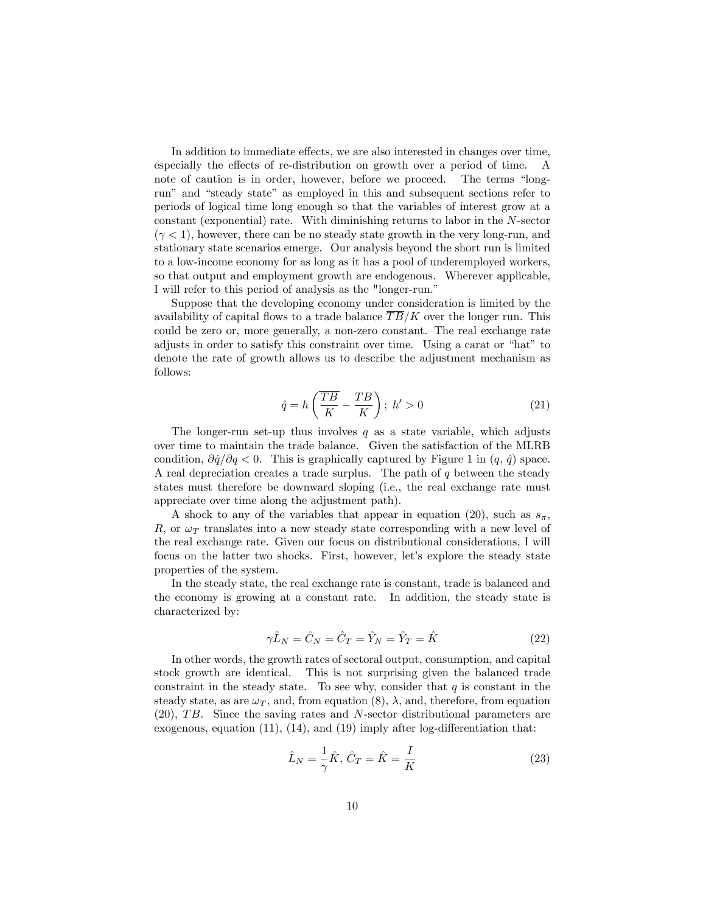In addition to immediate effects, we are also interested in changes over time, especially the effects of re-distribution on growth over a period of time. A note of caution is in order, however, before we proceed. The terms "longrun" and "steady state" as employed in this and subsequent sections refer to periods of logical time long enough so that the variables of interest grow at a constant (exponential) rate. With diminishing returns to labor in the N-sector  $(\gamma < 1)$ , however, there can be no steady state growth in the very long-run, and stationary state scenarios emerge. Our analysis beyond the short run is limited to a low-income economy for as long as it has a pool of underemployed workers, so that output and employment growth are endogenous. Wherever applicable, I will refer to this period of analysis as the "longer-run."

Suppose that the developing economy under consideration is limited by the availability of capital flows to a trade balance  $\overline{TB}/K$  over the longer run. This could be zero or, more generally, a non-zero constant. The real exchange rate adjusts in order to satisfy this constraint over time. Using a carat or "hat" to denote the rate of growth allows us to describe the adjustment mechanism as follows:

$$
\hat{q} = h\left(\frac{\overline{TB}}{K} - \frac{TB}{K}\right); h' > 0 \tag{21}
$$

The longer-run set-up thus involves  $q$  as a state variable, which adjusts over time to maintain the trade balance. Given the satisfaction of the MLRB condition,  $\partial \hat{q}/\partial q < 0$ . This is graphically captured by Figure 1 in  $(q, \hat{q})$  space. A real depreciation creates a trade surplus. The path of  $q$  between the steady states must therefore be downward sloping (i.e., the real exchange rate must appreciate over time along the adjustment path).

A shock to any of the variables that appear in equation (20), such as  $s_{\pi}$ , R, or  $\omega_{\mathcal{T}}$  translates into a new steady state corresponding with a new level of the real exchange rate. Given our focus on distributional considerations, I will focus on the latter two shocks. First, however, let's explore the steady state properties of the system.

In the steady state, the real exchange rate is constant, trade is balanced and the economy is growing at a constant rate. In addition, the steady state is characterized by:

$$
\gamma \hat{L}_N = \hat{C}_N = \hat{C}_T = \hat{Y}_N = \hat{Y}_T = \hat{K}
$$
\n(22)

In other words, the growth rates of sectoral output, consumption, and capital stock growth are identical. This is not surprising given the balanced trade constraint in the steady state. To see why, consider that  $q$  is constant in the steady state, as are  $\omega_T$ , and, from equation (8),  $\lambda$ , and, therefore, from equation  $(20)$ , TB. Since the saving rates and N-sector distributional parameters are exogenous, equation  $(11)$ ,  $(14)$ , and  $(19)$  imply after log-differentiation that:

$$
\hat{L}_N = \frac{1}{\gamma}\hat{K}, \ \hat{C}_T = \hat{K} = \frac{I}{K} \tag{23}
$$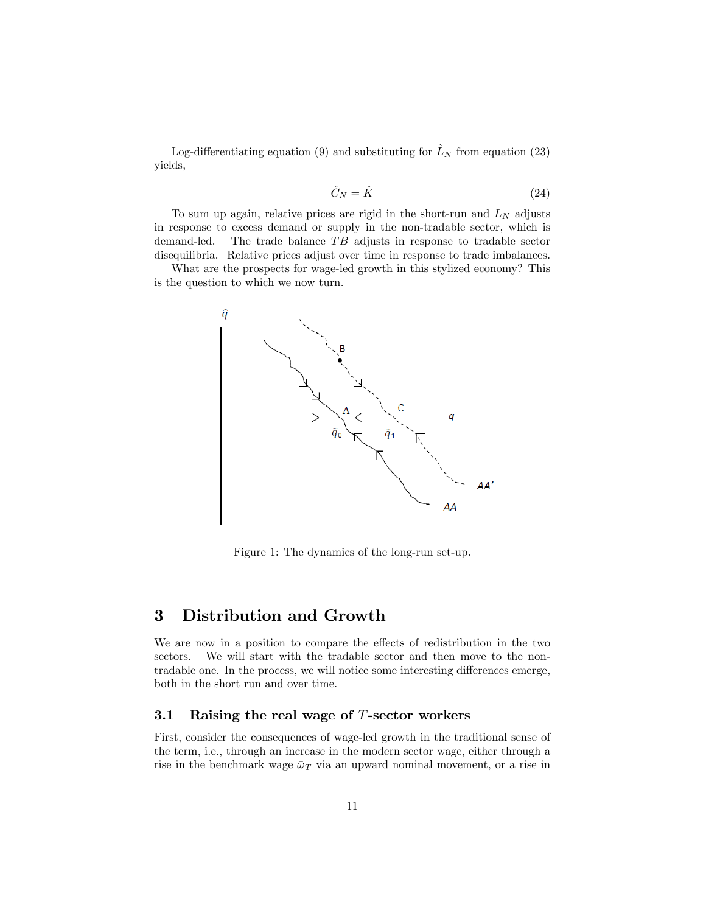Log-differentiating equation (9) and substituting for  $\hat{L}_N$  from equation (23) yields,

$$
\hat{C}_N = \hat{K} \tag{24}
$$

To sum up again, relative prices are rigid in the short-run and  $L<sub>N</sub>$  adjusts in response to excess demand or supply in the non-tradable sector, which is demand-led. The trade balance  $TB$  adjusts in response to tradable sector disequilibria. Relative prices adjust over time in response to trade imbalances.

What are the prospects for wage-led growth in this stylized economy? This is the question to which we now turn.



Figure 1: The dynamics of the long-run set-up.

## 3 Distribution and Growth

We are now in a position to compare the effects of redistribution in the two sectors. We will start with the tradable sector and then move to the nontradable one. In the process, we will notice some interesting differences emerge, both in the short run and over time.

#### 3.1 Raising the real wage of  $T$ -sector workers

First, consider the consequences of wage-led growth in the traditional sense of the term, i.e., through an increase in the modern sector wage, either through a rise in the benchmark wage  $\bar{\omega}_T$  via an upward nominal movement, or a rise in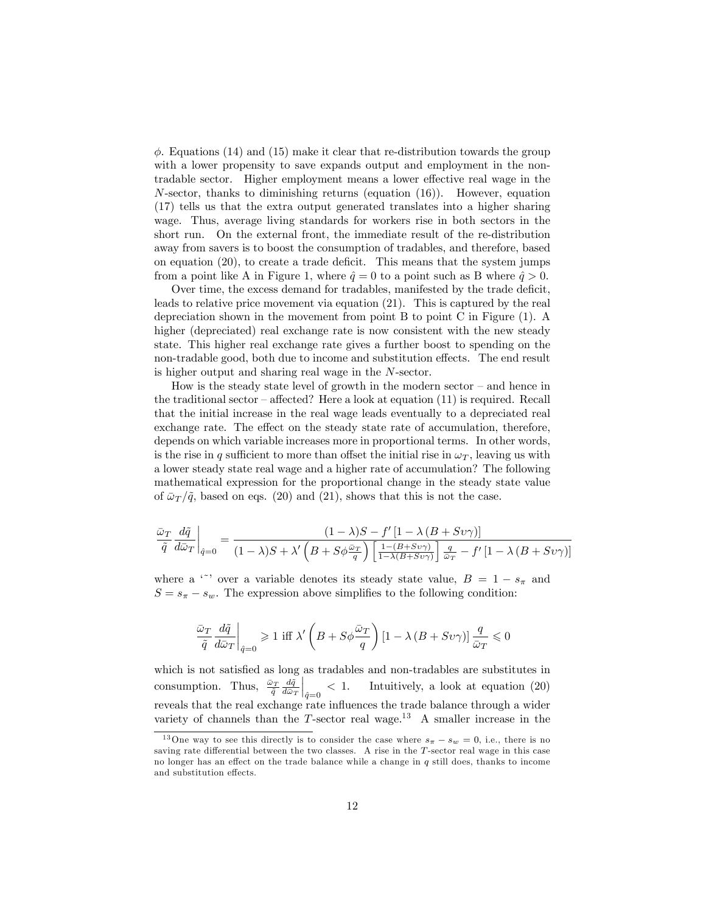$\phi$ . Equations (14) and (15) make it clear that re-distribution towards the group with a lower propensity to save expands output and employment in the nontradable sector. Higher employment means a lower effective real wage in the  $N$ -sector, thanks to diminishing returns (equation  $(16)$ ). However, equation (17) tells us that the extra output generated translates into a higher sharing wage. Thus, average living standards for workers rise in both sectors in the short run. On the external front, the immediate result of the re-distribution away from savers is to boost the consumption of tradables, and therefore, based on equation  $(20)$ , to create a trade deficit. This means that the system jumps from a point like A in Figure 1, where  $\hat{q} = 0$  to a point such as B where  $\hat{q} > 0$ .

Over time, the excess demand for tradables, manifested by the trade deficit, leads to relative price movement via equation (21). This is captured by the real depreciation shown in the movement from point B to point C in Figure (1). A higher (depreciated) real exchange rate is now consistent with the new steady state. This higher real exchange rate gives a further boost to spending on the non-tradable good, both due to income and substitution effects. The end result is higher output and sharing real wage in the N-sector.

How is the steady state level of growth in the modern sector  $-$  and hence in the traditional sector  $\overline{\phantom{a}}$  affected? Here a look at equation (11) is required. Recall that the initial increase in the real wage leads eventually to a depreciated real exchange rate. The effect on the steady state rate of accumulation, therefore, depends on which variable increases more in proportional terms. In other words, is the rise in q sufficient to more than offset the initial rise in  $\omega_T$ , leaving us with a lower steady state real wage and a higher rate of accumulation? The following mathematical expression for the proportional change in the steady state value of  $\bar{\omega}_T/\tilde{q}$ , based on eqs. (20) and (21), shows that this is not the case.

$$
\frac{\bar{\omega}_T}{\tilde{q}} \frac{d\tilde{q}}{d\bar{\omega}_T}\Big|_{\hat{q}=0} = \frac{(1-\lambda)S - f'[1-\lambda(B+S\upsilon\gamma)]}{(1-\lambda)S + \lambda'\left(B+S\phi\frac{\bar{\omega}_T}{q}\right)\left[\frac{1-(B+S\upsilon\gamma)}{1-\lambda(B+S\upsilon\gamma)}\right]\frac{q}{\bar{\omega}_T} - f'[1-\lambda(B+S\upsilon\gamma)]}
$$

where a <sup>\*\*</sup> over a variable denotes its steady state value,  $B = 1 - s<sub>\pi</sub>$  and  $S = s_{\pi} - s_{w}$ . The expression above simplifies to the following condition:

$$
\frac{\bar{\omega}_T}{\tilde{q}}\frac{d\tilde{q}}{d\bar{\omega}_T}\bigg|_{\tilde{q}=0}\geqslant 1\,\,{\rm iff}\,\,\lambda'\left(B+S\phi\frac{\bar{\omega}_T}{q}\right)\left[1-\lambda\left(B+S\nu\gamma\right)\right]\frac{q}{\bar{\omega}_T}\leqslant 0
$$

which is not satisfied as long as tradables and non-tradables are substitutes in consumption. Thus,  $\frac{\bar{\omega}_T}{\tilde{q}} \frac{d\tilde{q}}{d\bar{\omega}_T}$  $\Big|_{\hat{q}=0}$  < 1. Intuitively, a look at equation (20) reveals that the real exchange rate influences the trade balance through a wider variety of channels than the  $T$ -sector real wage.<sup>13</sup> A smaller increase in the

<sup>&</sup>lt;sup>13</sup>One way to see this directly is to consider the case where  $s_{\pi} - s_{w} = 0$ , i.e., there is no saving rate differential between the two classes. A rise in the T-sector real wage in this case no longer has an effect on the trade balance while a change in  $q$  still does, thanks to income and substitution effects.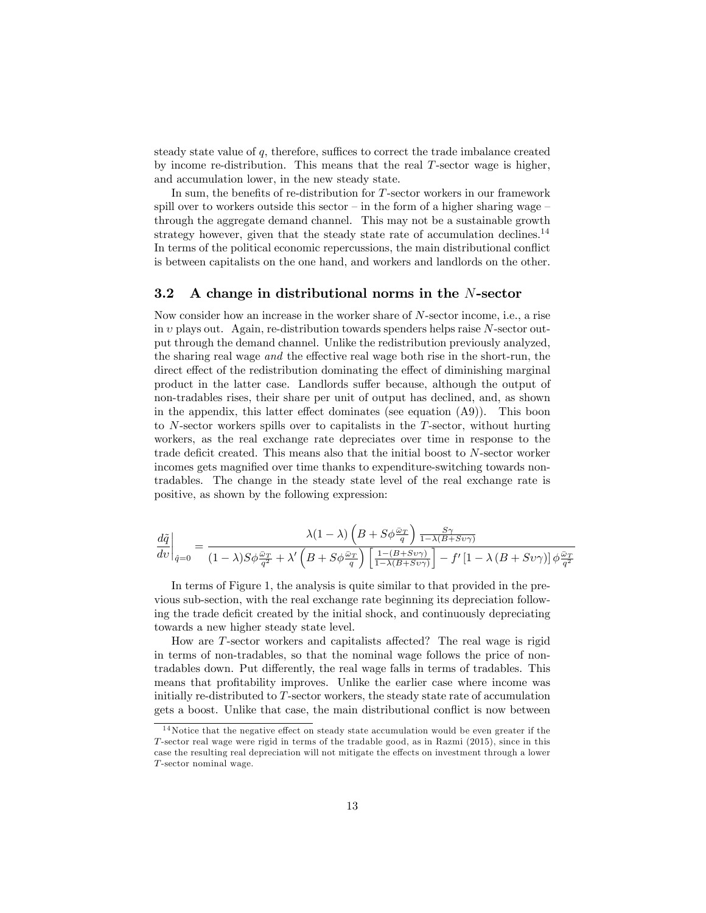steady state value of  $q$ , therefore, suffices to correct the trade imbalance created by income re-distribution. This means that the real T-sector wage is higher, and accumulation lower, in the new steady state.

In sum, the benefits of re-distribution for  $T$ -sector workers in our framework spill over to workers outside this sector  $\overline{\phantom{a}}$  in the form of a higher sharing wage  $\overline{\phantom{a}}$ through the aggregate demand channel. This may not be a sustainable growth strategy however, given that the steady state rate of accumulation declines.<sup>14</sup> In terms of the political economic repercussions, the main distributional conflict is between capitalists on the one hand, and workers and landlords on the other.

#### 3.2 A change in distributional norms in the N-sector

Now consider how an increase in the worker share of N-sector income, i.e., a rise in  $v$  plays out. Again, re-distribution towards spenders helps raise  $N$ -sector output through the demand channel. Unlike the redistribution previously analyzed, the sharing real wage and the effective real wage both rise in the short-run, the direct effect of the redistribution dominating the effect of diminishing marginal product in the latter case. Landlords suffer because, although the output of non-tradables rises, their share per unit of output has declined, and, as shown in the appendix, this latter effect dominates (see equation  $(A9)$ ). This boon to N-sector workers spills over to capitalists in the T-sector, without hurting workers, as the real exchange rate depreciates over time in response to the trade deficit created. This means also that the initial boost to  $N$ -sector worker incomes gets magnified over time thanks to expenditure-switching towards nontradables. The change in the steady state level of the real exchange rate is positive, as shown by the following expression:

$$
\left.\frac{d\tilde{q}}{dv}\right|_{\hat{q}=0}=\frac{\lambda(1-\lambda)\left(B+S\phi\frac{\bar{\omega}_{T}}{q}\right)\frac{S\gamma}{1-\lambda(B+Sv\gamma)}}{(1-\lambda)S\phi\frac{\bar{\omega}_{T}}{q^2}+\lambda'\left(B+S\phi\frac{\bar{\omega}_{T}}{q}\right)\left[\frac{1-(B+Sv\gamma)}{1-\lambda(B+Sv\gamma)}\right]-f'\left[1-\lambda\left(B+Sv\gamma\right)\right]\phi\frac{\bar{\omega}_{T}}{q^2}}
$$

In terms of Figure 1, the analysis is quite similar to that provided in the previous sub-section, with the real exchange rate beginning its depreciation following the trade deficit created by the initial shock, and continuously depreciating towards a new higher steady state level.

How are  $T$ -sector workers and capitalists affected? The real wage is rigid in terms of non-tradables, so that the nominal wage follows the price of nontradables down. Put differently, the real wage falls in terms of tradables. This means that profitability improves. Unlike the earlier case where income was initially re-distributed to T-sector workers, the steady state rate of accumulation gets a boost. Unlike that case, the main distributional conflict is now between

 $14$ Notice that the negative effect on steady state accumulation would be even greater if the T-sector real wage were rigid in terms of the tradable good, as in Razmi (2015), since in this case the resulting real depreciation will not mitigate the effects on investment through a lower T-sector nominal wage.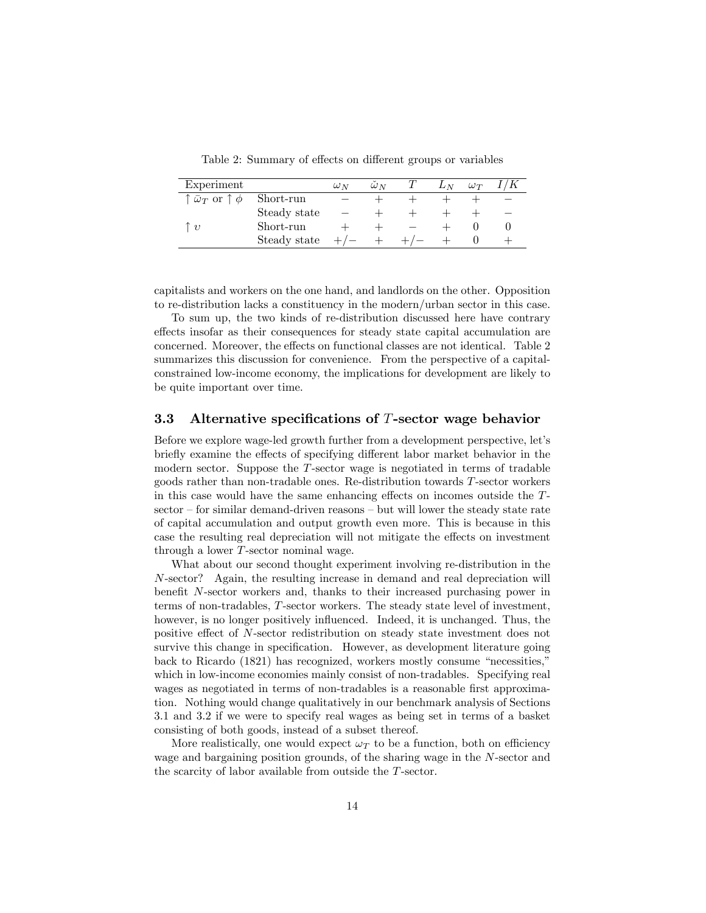| Experiment                                                                         |              | $\omega_N$ | $\omega_N$ | $L_N$ | $\omega_T$ |  |
|------------------------------------------------------------------------------------|--------------|------------|------------|-------|------------|--|
| ${}^{\scriptscriptstyle \dagger}\bar{\omega}_T$ or ${\scriptstyle \uparrow}\,\phi$ | Short-run    |            |            |       |            |  |
|                                                                                    | Steady state |            |            |       |            |  |
| $\eta$                                                                             | Short-run    |            |            |       |            |  |
|                                                                                    | Steady state | $^+$       |            |       |            |  |

Table 2: Summary of effects on different groups or variables

capitalists and workers on the one hand, and landlords on the other. Opposition to re-distribution lacks a constituency in the modern/urban sector in this case.

To sum up, the two kinds of re-distribution discussed here have contrary effects insofar as their consequences for steady state capital accumulation are concerned. Moreover, the effects on functional classes are not identical. Table 2 summarizes this discussion for convenience. From the perspective of a capitalconstrained low-income economy, the implications for development are likely to be quite important over time.

#### 3.3 Alternative specifications of  $T$ -sector wage behavior

Before we explore wage-led growth further from a development perspective, let's briefly examine the effects of specifying different labor market behavior in the modern sector. Suppose the T-sector wage is negotiated in terms of tradable goods rather than non-tradable ones. Re-distribution towards T-sector workers in this case would have the same enhancing effects on incomes outside the  $T$ - $\text{sector}$  – for similar demand-driven reasons  $\text{-}$  but will lower the steady state rate of capital accumulation and output growth even more. This is because in this case the resulting real depreciation will not mitigate the effects on investment through a lower T-sector nominal wage.

What about our second thought experiment involving re-distribution in the N-sector? Again, the resulting increase in demand and real depreciation will benefit  $N$ -sector workers and, thanks to their increased purchasing power in terms of non-tradables, T-sector workers. The steady state level of investment, however, is no longer positively influenced. Indeed, it is unchanged. Thus, the positive effect of N-sector redistribution on steady state investment does not survive this change in specification. However, as development literature going back to Ricardo  $(1821)$  has recognized, workers mostly consume "necessities," which in low-income economies mainly consist of non-tradables. Specifying real wages as negotiated in terms of non-tradables is a reasonable first approximation. Nothing would change qualitatively in our benchmark analysis of Sections 3.1 and 3.2 if we were to specify real wages as being set in terms of a basket consisting of both goods, instead of a subset thereof.

More realistically, one would expect  $\omega_T$  to be a function, both on efficiency wage and bargaining position grounds, of the sharing wage in the N-sector and the scarcity of labor available from outside the T-sector.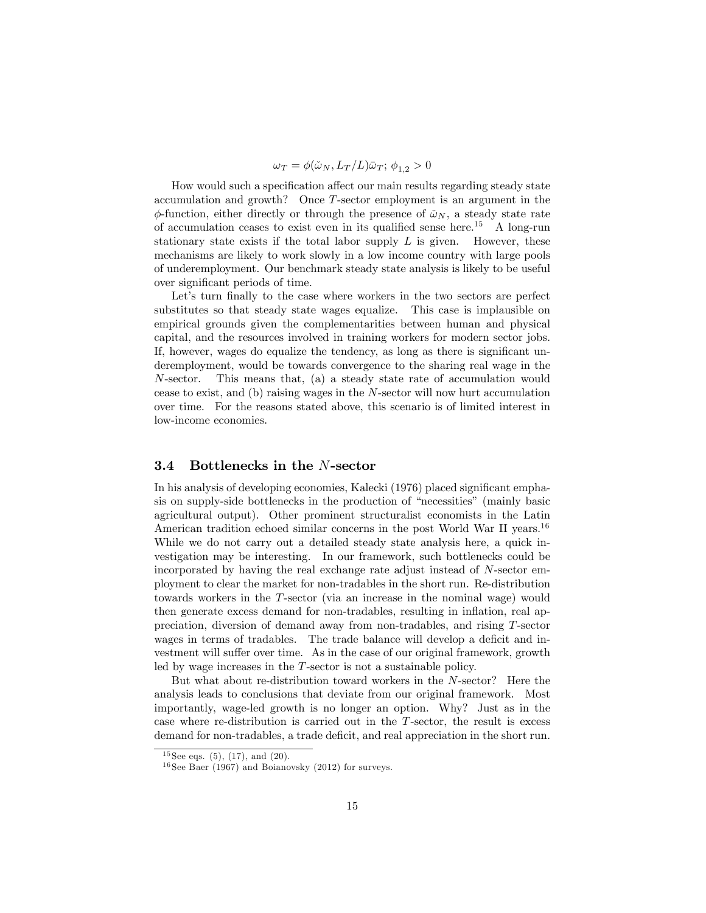$$
\omega_T = \phi(\check{\omega}_N, L_T/L)\bar{\omega}_T; \, \phi_{1,2} > 0
$$

How would such a specification affect our main results regarding steady state accumulation and growth? Once T-sector employment is an argument in the  $\phi$ -function, either directly or through the presence of  $\tilde{\omega}_N$ , a steady state rate of accumulation ceases to exist even in its qualified sense here.<sup>15</sup> A long-run stationary state exists if the total labor supply  $L$  is given. However, these mechanisms are likely to work slowly in a low income country with large pools of underemployment. Our benchmark steady state analysis is likely to be useful over significant periods of time.

Let's turn finally to the case where workers in the two sectors are perfect substitutes so that steady state wages equalize. This case is implausible on empirical grounds given the complementarities between human and physical capital, and the resources involved in training workers for modern sector jobs. If, however, wages do equalize the tendency, as long as there is significant underemployment, would be towards convergence to the sharing real wage in the N-sector. This means that, (a) a steady state rate of accumulation would cease to exist, and (b) raising wages in the N-sector will now hurt accumulation over time. For the reasons stated above, this scenario is of limited interest in low-income economies.

#### 3.4 Bottlenecks in the N-sector

In his analysis of developing economies, Kalecki (1976) placed significant emphasis on supply-side bottlenecks in the production of "necessities" (mainly basic agricultural output). Other prominent structuralist economists in the Latin American tradition echoed similar concerns in the post World War II years.<sup>16</sup> While we do not carry out a detailed steady state analysis here, a quick investigation may be interesting. In our framework, such bottlenecks could be incorporated by having the real exchange rate adjust instead of N-sector employment to clear the market for non-tradables in the short run. Re-distribution towards workers in the T-sector (via an increase in the nominal wage) would then generate excess demand for non-tradables, resulting in inflation, real appreciation, diversion of demand away from non-tradables, and rising T-sector wages in terms of tradables. The trade balance will develop a deficit and investment will suffer over time. As in the case of our original framework, growth led by wage increases in the T-sector is not a sustainable policy.

But what about re-distribution toward workers in the N-sector? Here the analysis leads to conclusions that deviate from our original framework. Most importantly, wage-led growth is no longer an option. Why? Just as in the case where re-distribution is carried out in the T-sector, the result is excess demand for non-tradables, a trade deficit, and real appreciation in the short run.

 $15$  See eqs. (5), (17), and (20).

 $16$  See Baer (1967) and Boianovsky (2012) for surveys.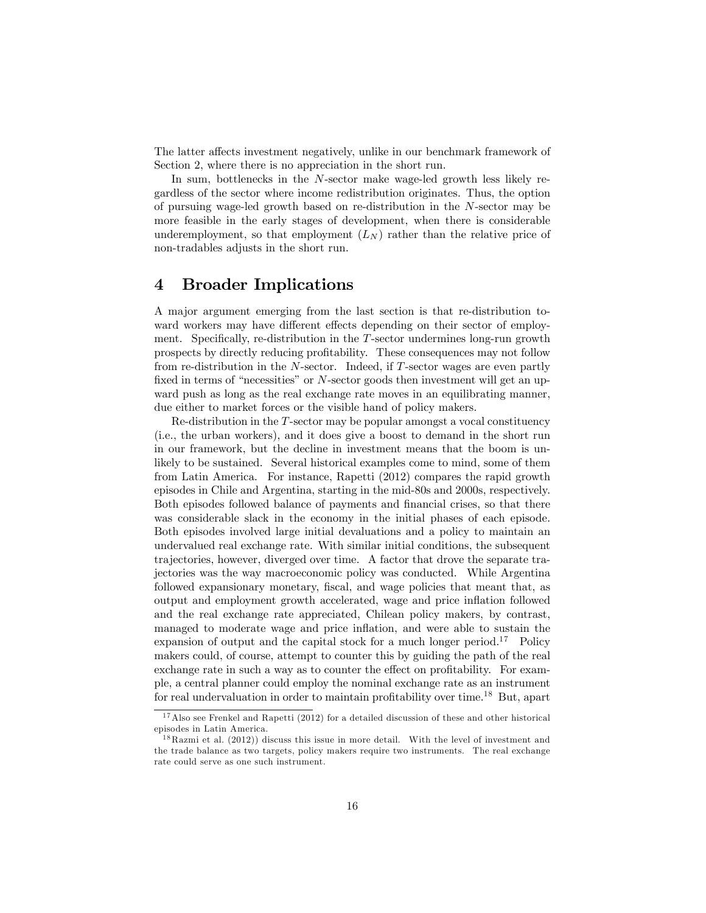The latter affects investment negatively, unlike in our benchmark framework of Section 2, where there is no appreciation in the short run.

In sum, bottlenecks in the N-sector make wage-led growth less likely regardless of the sector where income redistribution originates. Thus, the option of pursuing wage-led growth based on re-distribution in the N-sector may be more feasible in the early stages of development, when there is considerable underemployment, so that employment  $(L_N)$  rather than the relative price of non-tradables adjusts in the short run.

### 4 Broader Implications

A major argument emerging from the last section is that re-distribution toward workers may have different effects depending on their sector of employment. Specifically, re-distribution in the  $T$ -sector undermines long-run growth prospects by directly reducing proÖtability. These consequences may not follow from re-distribution in the N-sector. Indeed, if T-sector wages are even partly fixed in terms of "necessities" or  $N$ -sector goods then investment will get an upward push as long as the real exchange rate moves in an equilibrating manner, due either to market forces or the visible hand of policy makers.

Re-distribution in the T-sector may be popular amongst a vocal constituency (i.e., the urban workers), and it does give a boost to demand in the short run in our framework, but the decline in investment means that the boom is unlikely to be sustained. Several historical examples come to mind, some of them from Latin America. For instance, Rapetti (2012) compares the rapid growth episodes in Chile and Argentina, starting in the mid-80s and 2000s, respectively. Both episodes followed balance of payments and financial crises, so that there was considerable slack in the economy in the initial phases of each episode. Both episodes involved large initial devaluations and a policy to maintain an undervalued real exchange rate. With similar initial conditions, the subsequent trajectories, however, diverged over time. A factor that drove the separate trajectories was the way macroeconomic policy was conducted. While Argentina followed expansionary monetary, Öscal, and wage policies that meant that, as output and employment growth accelerated, wage and price inflation followed and the real exchange rate appreciated, Chilean policy makers, by contrast, managed to moderate wage and price inflation, and were able to sustain the expansion of output and the capital stock for a much longer period.<sup>17</sup> Policy makers could, of course, attempt to counter this by guiding the path of the real exchange rate in such a way as to counter the effect on profitability. For example, a central planner could employ the nominal exchange rate as an instrument for real undervaluation in order to maintain profitability over time.<sup>18</sup> But, apart

<sup>&</sup>lt;sup>17</sup>Also see Frenkel and Rapetti (2012) for a detailed discussion of these and other historical episodes in Latin America.

 $18$  Razmi et al. (2012)) discuss this issue in more detail. With the level of investment and the trade balance as two targets, policy makers require two instruments. The real exchange rate could serve as one such instrument.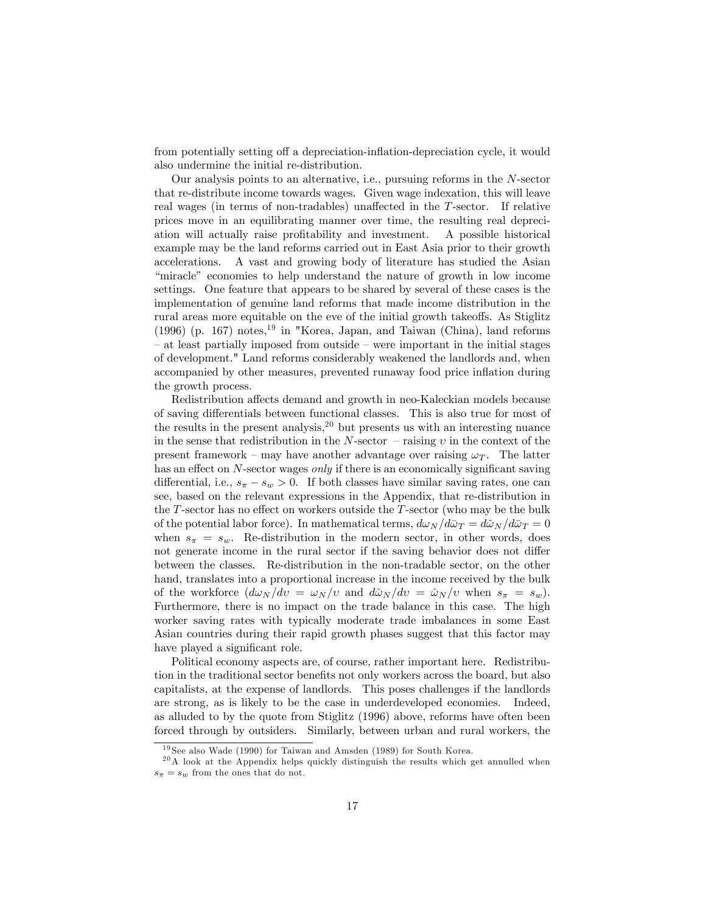from potentially setting off a depreciation-inflation-depreciation cycle, it would also undermine the initial re-distribution.

Our analysis points to an alternative, i.e., pursuing reforms in the N-sector that re-distribute income towards wages. Given wage indexation, this will leave real wages (in terms of non-tradables) unaffected in the T-sector. If relative prices move in an equilibrating manner over time, the resulting real depreciation will actually raise proÖtability and investment. A possible historical example may be the land reforms carried out in East Asia prior to their growth accelerations. A vast and growing body of literature has studied the Asian ìmiracleî economies to help understand the nature of growth in low income settings. One feature that appears to be shared by several of these cases is the implementation of genuine land reforms that made income distribution in the rural areas more equitable on the eve of the initial growth takeoffs. As Stiglitz (1996) (p. 167) notes,<sup>19</sup> in "Korea, Japan, and Taiwan (China), land reforms  $\alpha$  at least partially imposed from outside  $\alpha$  were important in the initial stages of development." Land reforms considerably weakened the landlords and, when accompanied by other measures, prevented runaway food price inflation during the growth process.

Redistribution affects demand and growth in neo-Kaleckian models because of saving differentials between functional classes. This is also true for most of the results in the present analysis,  $2^0$  but presents us with an interesting nuance in the sense that redistribution in the N-sector  $\overline{\phantom{a}}$ -raising  $\overline{v}$  in the context of the present framework – may have another advantage over raising  $\omega_T$ . The latter has an effect on  $N$ -sector wages *only* if there is an economically significant saving differential, i.e.,  $s_{\pi} - s_w > 0$ . If both classes have similar saving rates, one can see, based on the relevant expressions in the Appendix, that re-distribution in the T-sector has no effect on workers outside the T-sector (who may be the bulk of the potential labor force). In mathematical terms,  $d\omega_N/d\bar{\omega}_T = d\tilde{\omega}_N/d\bar{\omega}_T = 0$ when  $s_{\pi} = s_{w}$ . Re-distribution in the modern sector, in other words, does not generate income in the rural sector if the saving behavior does not differ between the classes. Re-distribution in the non-tradable sector, on the other hand, translates into a proportional increase in the income received by the bulk of the workforce  $(d\omega_N/dv = \omega_N/v$  and  $d\tilde{\omega}_N/dv = \tilde{\omega}_N/v$  when  $s_{\pi} = s_w$ ). Furthermore, there is no impact on the trade balance in this case. The high worker saving rates with typically moderate trade imbalances in some East Asian countries during their rapid growth phases suggest that this factor may have played a significant role.

Political economy aspects are, of course, rather important here. Redistribution in the traditional sector benefits not only workers across the board, but also capitalists, at the expense of landlords. This poses challenges if the landlords are strong, as is likely to be the case in underdeveloped economies. Indeed, as alluded to by the quote from Stiglitz (1996) above, reforms have often been forced through by outsiders. Similarly, between urban and rural workers, the

<sup>19</sup> See also Wade (1990) for Taiwan and Amsden (1989) for South Korea.

 $^{20}$ A look at the Appendix helps quickly distinguish the results which get annulled when  $s_{\pi} = s_w$  from the ones that do not.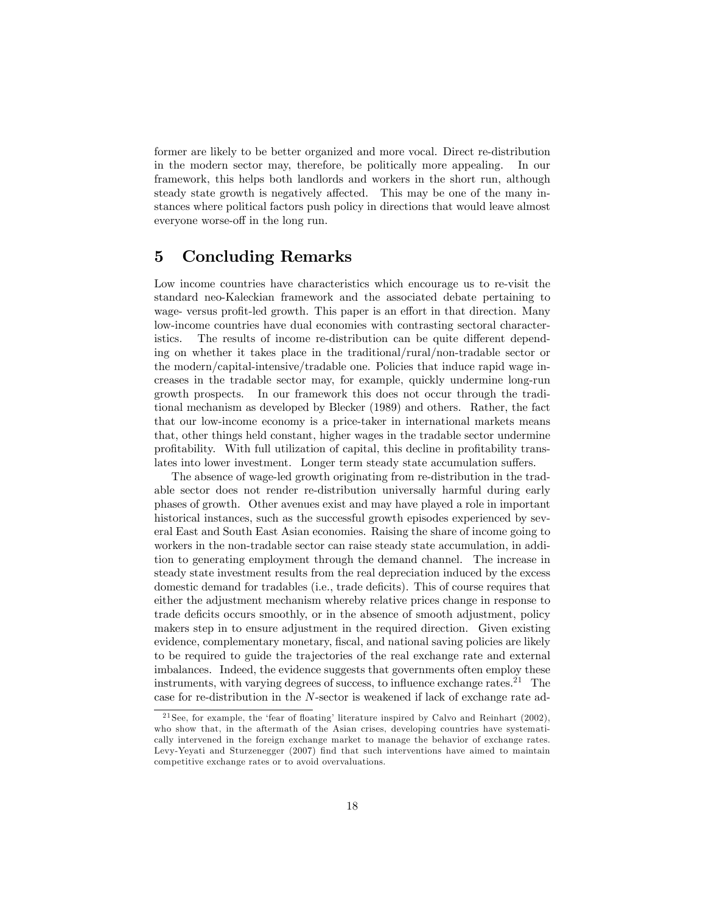former are likely to be better organized and more vocal. Direct re-distribution in the modern sector may, therefore, be politically more appealing. In our framework, this helps both landlords and workers in the short run, although steady state growth is negatively affected. This may be one of the many instances where political factors push policy in directions that would leave almost everyone worse-off in the long run.

## 5 Concluding Remarks

Low income countries have characteristics which encourage us to re-visit the standard neo-Kaleckian framework and the associated debate pertaining to wage- versus profit-led growth. This paper is an effort in that direction. Many low-income countries have dual economies with contrasting sectoral characteristics. The results of income re-distribution can be quite different depending on whether it takes place in the traditional/rural/non-tradable sector or the modern/capital-intensive/tradable one. Policies that induce rapid wage increases in the tradable sector may, for example, quickly undermine long-run growth prospects. In our framework this does not occur through the traditional mechanism as developed by Blecker (1989) and others. Rather, the fact that our low-income economy is a price-taker in international markets means that, other things held constant, higher wages in the tradable sector undermine profitability. With full utilization of capital, this decline in profitability translates into lower investment. Longer term steady state accumulation suffers.

The absence of wage-led growth originating from re-distribution in the tradable sector does not render re-distribution universally harmful during early phases of growth. Other avenues exist and may have played a role in important historical instances, such as the successful growth episodes experienced by several East and South East Asian economies. Raising the share of income going to workers in the non-tradable sector can raise steady state accumulation, in addition to generating employment through the demand channel. The increase in steady state investment results from the real depreciation induced by the excess domestic demand for tradables (i.e., trade deficits). This of course requires that either the adjustment mechanism whereby relative prices change in response to trade deficits occurs smoothly, or in the absence of smooth adjustment, policy makers step in to ensure adjustment in the required direction. Given existing evidence, complementary monetary, fiscal, and national saving policies are likely to be required to guide the trajectories of the real exchange rate and external imbalances. Indeed, the evidence suggests that governments often employ these instruments, with varying degrees of success, to influence exchange rates.<sup>21</sup> The case for re-distribution in the N-sector is weakened if lack of exchange rate ad-

 $21$  See, for example, the 'fear of floating' literature inspired by Calvo and Reinhart (2002), who show that, in the aftermath of the Asian crises, developing countries have systematically intervened in the foreign exchange market to manage the behavior of exchange rates. Levy-Yeyati and Sturzenegger (2007) Önd that such interventions have aimed to maintain competitive exchange rates or to avoid overvaluations.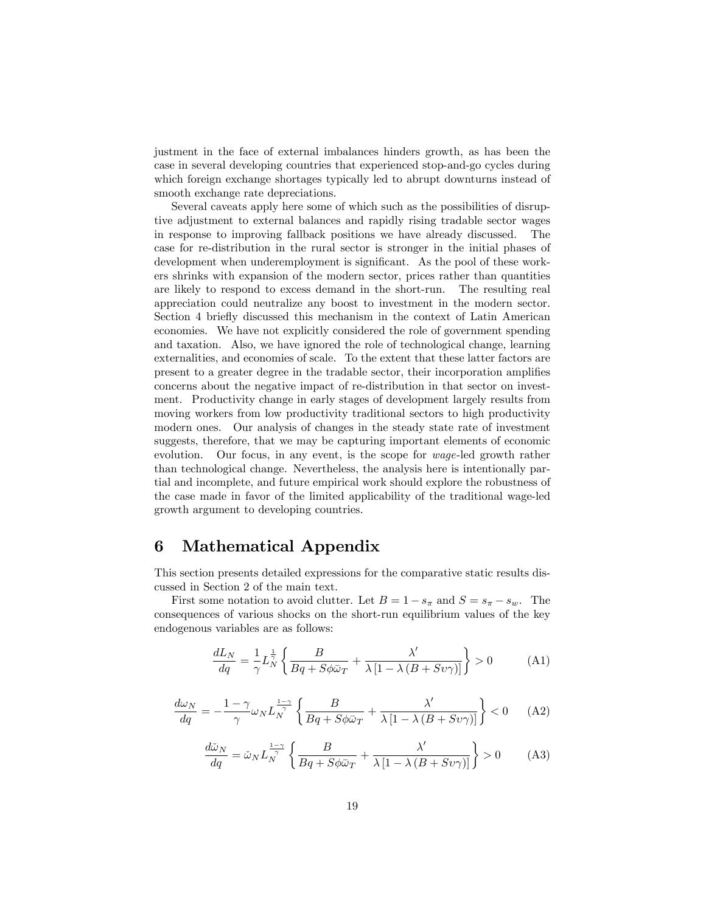justment in the face of external imbalances hinders growth, as has been the case in several developing countries that experienced stop-and-go cycles during which foreign exchange shortages typically led to abrupt downturns instead of smooth exchange rate depreciations.

Several caveats apply here some of which such as the possibilities of disruptive adjustment to external balances and rapidly rising tradable sector wages in response to improving fallback positions we have already discussed. The case for re-distribution in the rural sector is stronger in the initial phases of development when underemployment is significant. As the pool of these workers shrinks with expansion of the modern sector, prices rather than quantities are likely to respond to excess demand in the short-run. The resulting real appreciation could neutralize any boost to investment in the modern sector. Section 4 briefly discussed this mechanism in the context of Latin American economies. We have not explicitly considered the role of government spending and taxation. Also, we have ignored the role of technological change, learning externalities, and economies of scale. To the extent that these latter factors are present to a greater degree in the tradable sector, their incorporation amplifies concerns about the negative impact of re-distribution in that sector on investment. Productivity change in early stages of development largely results from moving workers from low productivity traditional sectors to high productivity modern ones. Our analysis of changes in the steady state rate of investment suggests, therefore, that we may be capturing important elements of economic evolution. Our focus, in any event, is the scope for wage-led growth rather than technological change. Nevertheless, the analysis here is intentionally partial and incomplete, and future empirical work should explore the robustness of the case made in favor of the limited applicability of the traditional wage-led growth argument to developing countries.

## 6 Mathematical Appendix

This section presents detailed expressions for the comparative static results discussed in Section 2 of the main text.

First some notation to avoid clutter. Let  $B = 1 - s_{\pi}$  and  $S = s_{\pi} - s_{w}$ . The consequences of various shocks on the short-run equilibrium values of the key endogenous variables are as follows:

$$
\frac{dL_N}{dq} = \frac{1}{\gamma} L_N^{\frac{1}{\gamma}} \left\{ \frac{B}{Bq + S\phi\bar{\omega}_T} + \frac{\lambda'}{\lambda \left[1 - \lambda \left(B + S\upsilon\gamma\right)\right]} \right\} > 0 \tag{A1}
$$

$$
\frac{d\omega_N}{dq} = -\frac{1-\gamma}{\gamma}\omega_N L_N^{\frac{1-\gamma}{\gamma}} \left\{ \frac{B}{Bq + S\phi\bar{\omega}_T} + \frac{\lambda'}{\lambda \left[1 - \lambda \left(B + S\upsilon\gamma\right)\right]} \right\} < 0 \tag{A2}
$$

$$
\frac{d\tilde{\omega}_N}{dq} = \tilde{\omega}_N L_N^{\frac{1-\gamma}{\gamma}} \left\{ \frac{B}{Bq + S\phi\bar{\omega}_T} + \frac{\lambda'}{\lambda \left[1 - \lambda \left(B + S\upsilon\gamma\right)\right]} \right\} > 0 \tag{A3}
$$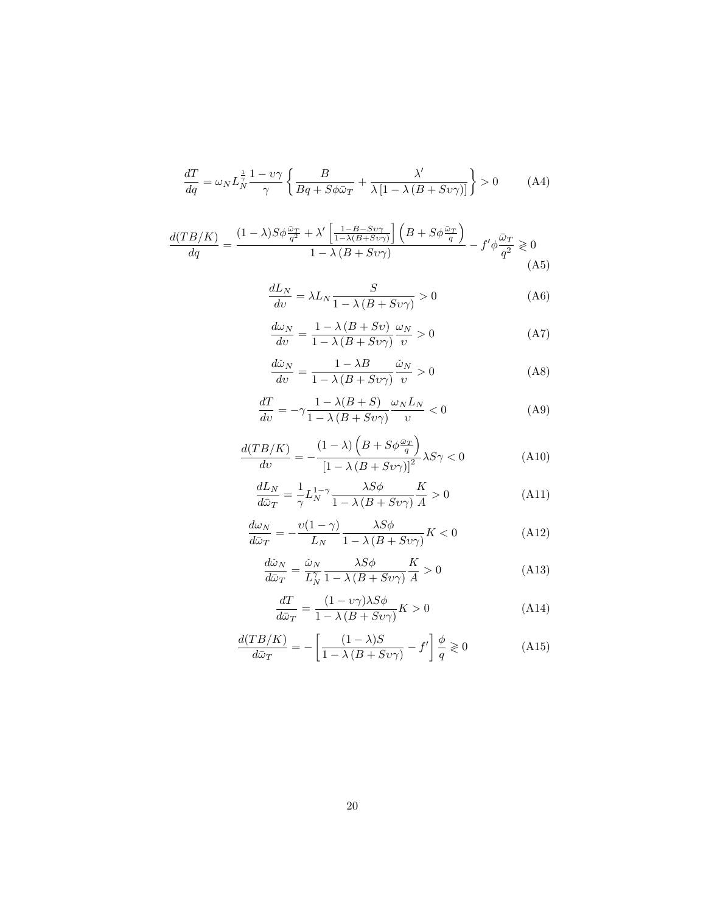$$
\frac{dT}{dq} = \omega_N L_N^{\frac{1}{\gamma}} \frac{1 - \nu \gamma}{\gamma} \left\{ \frac{B}{Bq + S\phi \bar{\omega}_T} + \frac{\lambda'}{\lambda \left[1 - \lambda \left(B + S\upsilon \gamma\right)\right]} \right\} > 0 \tag{A4}
$$

$$
\frac{d(TB/K)}{dq} = \frac{(1-\lambda)S\phi\frac{\tilde{\omega}_T}{q^2} + \lambda'\left[\frac{1-B-Sv\gamma}{1-\lambda(B+Sv\gamma)}\right]\left(B+S\phi\frac{\tilde{\omega}_T}{q}\right)}{1-\lambda\left(B+Sv\gamma\right)} - f'\phi\frac{\tilde{\omega}_T}{q^2} \geq 0\tag{A5}
$$

$$
\frac{dL_N}{dv} = \lambda L_N \frac{S}{1 - \lambda (B + Sv\gamma)} > 0
$$
\n(A6)

$$
\frac{d\omega_N}{dv} = \frac{1 - \lambda (B + Sv)}{1 - \lambda (B + Sv\gamma)} \frac{\omega_N}{v} > 0
$$
\n(A7)

$$
\frac{d\tilde{\omega}_N}{dv} = \frac{1 - \lambda B}{1 - \lambda (B + Sv\gamma)} \frac{\tilde{\omega}_N}{v} > 0
$$
\n(A8)

$$
\frac{dT}{dv} = -\gamma \frac{1 - \lambda(B + S)}{1 - \lambda(B + Sv\gamma)} \frac{\omega_N L_N}{v} < 0 \tag{A9}
$$

$$
\frac{d(TB/K)}{dv} = -\frac{(1-\lambda)\left(B + S\phi\frac{\omega_T}{q}\right)}{\left[1 - \lambda\left(B + S\upsilon\gamma\right)\right]^2} \lambda S\gamma < 0\tag{A10}
$$

$$
\frac{dL_N}{d\bar{\omega}_T} = \frac{1}{\gamma} L_N^{1-\gamma} \frac{\lambda S \phi}{1 - \lambda (B + S \nu \gamma)} \frac{K}{A} > 0
$$
\n(A11)

$$
\frac{d\omega_N}{d\bar{\omega}_T} = -\frac{\upsilon(1-\gamma)}{L_N} \frac{\lambda S\phi}{1-\lambda\left(B+S\upsilon\gamma\right)} K < 0 \tag{A12}
$$

$$
\frac{d\tilde{\omega}_N}{d\bar{\omega}_T} = \frac{\tilde{\omega}_N}{L_N^{\gamma}} \frac{\lambda S \phi}{1 - \lambda (B + S \nu \gamma)} \frac{K}{A} > 0
$$
\n(A13)

$$
\frac{dT}{d\bar{\omega}_T} = \frac{(1 - \nu\gamma)\lambda S\phi}{1 - \lambda\left(B + S\upsilon\gamma\right)}K > 0\tag{A14}
$$

$$
\frac{d(TB/K)}{d\bar{\omega}_T} = -\left[\frac{(1-\lambda)S}{1-\lambda\left(B+S\upsilon\gamma\right)} - f'\right]\frac{\phi}{q} \geq 0\tag{A15}
$$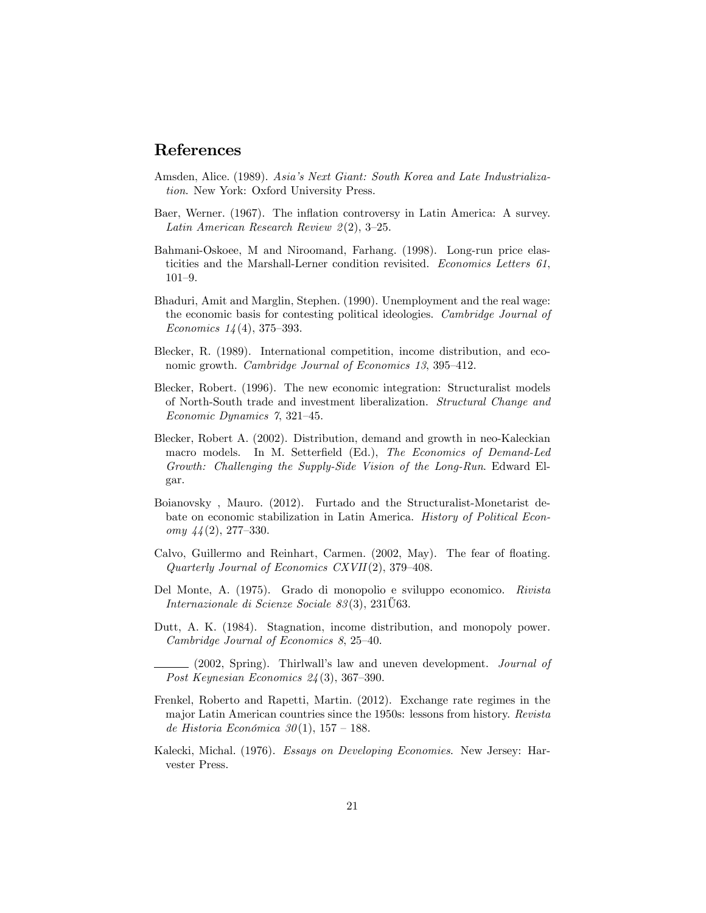### References

- Amsden, Alice. (1989). Asiaís Next Giant: South Korea and Late Industrialization. New York: Oxford University Press.
- Baer, Werner. (1967). The inflation controversy in Latin America: A survey. Latin American Research Review  $2(2)$ , 3-25.
- Bahmani-Oskoee, M and Niroomand, Farhang. (1998). Long-run price elasticities and the Marshall-Lerner condition revisited. Economics Letters 61,  $101 - 9.$
- Bhaduri, Amit and Marglin, Stephen. (1990). Unemployment and the real wage: the economic basis for contesting political ideologies. Cambridge Journal of Economics  $14(4)$ , 375–393.
- Blecker, R. (1989). International competition, income distribution, and economic growth. *Cambridge Journal of Economics 13*,  $395-412$ .
- Blecker, Robert. (1996). The new economic integration: Structuralist models of North-South trade and investment liberalization. Structural Change and Economic Dynamics  $\gamma$ , 321-45.
- Blecker, Robert A. (2002). Distribution, demand and growth in neo-Kaleckian macro models. In M. Setterfield (Ed.), The Economics of Demand-Led Growth: Challenging the Supply-Side Vision of the Long-Run. Edward Elgar.
- Boianovsky , Mauro. (2012). Furtado and the Structuralist-Monetarist debate on economic stabilization in Latin America. History of Political Economy  $44(2)$ , 277–330.
- Calvo, Guillermo and Reinhart, Carmen.  $(2002, \text{May})$ . The fear of floating. Quarterly Journal of Economics CXVII(2),  $379-408$ .
- Del Monte, A. (1975). Grado di monopolio e sviluppo economico. Rivista Internazionale di Scienze Sociale 83(3), 231U63.
- Dutt, A. K. (1984). Stagnation, income distribution, and monopoly power. Cambridge Journal of Economics  $8, 25-40.$

(2002, Spring). Thirlwall's law and uneven development. Journal of Post Keynesian Economics  $24(3)$ , 367–390.

- Frenkel, Roberto and Rapetti, Martin. (2012). Exchange rate regimes in the major Latin American countries since the 1950s: lessons from history. Revista de Historia Económica 30(1), 157 – 188.
- Kalecki, Michal. (1976). Essays on Developing Economies. New Jersey: Harvester Press.